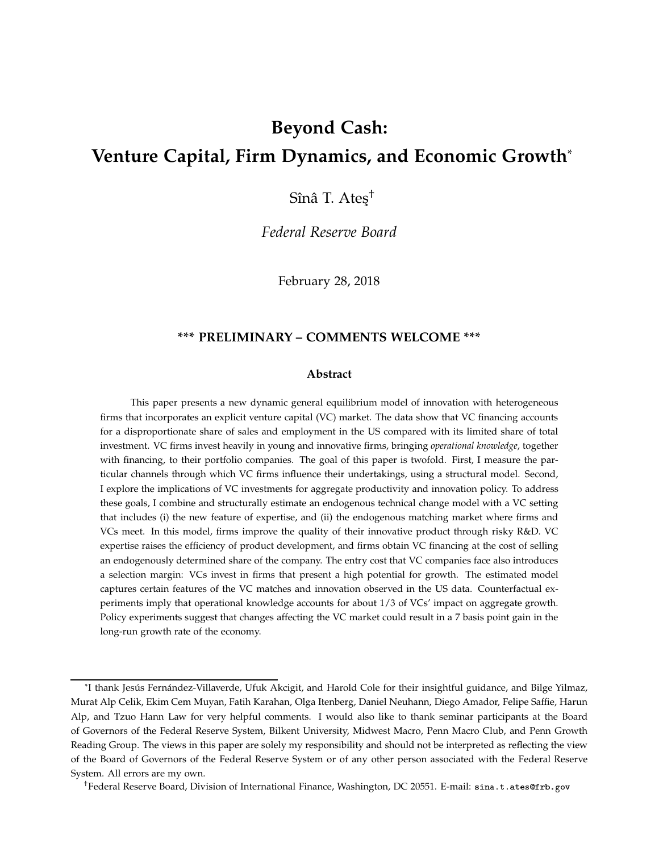# **Beyond Cash: Venture Capital, Firm Dynamics, and Economic Growth**\*

Sînâ T. Ateş<sup>†</sup>

*Federal Reserve Board*

February 28, 2018

### **\*\*\* PRELIMINARY – COMMENTS WELCOME \*\*\***

#### **Abstract**

This paper presents a new dynamic general equilibrium model of innovation with heterogeneous firms that incorporates an explicit venture capital (VC) market. The data show that VC financing accounts for a disproportionate share of sales and employment in the US compared with its limited share of total investment. VC firms invest heavily in young and innovative firms, bringing *operational knowledge*, together with financing, to their portfolio companies. The goal of this paper is twofold. First, I measure the particular channels through which VC firms influence their undertakings, using a structural model. Second, I explore the implications of VC investments for aggregate productivity and innovation policy. To address these goals, I combine and structurally estimate an endogenous technical change model with a VC setting that includes (i) the new feature of expertise, and (ii) the endogenous matching market where firms and VCs meet. In this model, firms improve the quality of their innovative product through risky R&D. VC expertise raises the efficiency of product development, and firms obtain VC financing at the cost of selling an endogenously determined share of the company. The entry cost that VC companies face also introduces a selection margin: VCs invest in firms that present a high potential for growth. The estimated model captures certain features of the VC matches and innovation observed in the US data. Counterfactual experiments imply that operational knowledge accounts for about 1/3 of VCs' impact on aggregate growth. Policy experiments suggest that changes affecting the VC market could result in a 7 basis point gain in the long-run growth rate of the economy.

†Federal Reserve Board, Division of International Finance, Washington, DC 20551. E-mail: sina.t.atesfrb.gov

<sup>\*</sup>I thank Jesús Fernández-Villaverde, Ufuk Akcigit, and Harold Cole for their insightful guidance, and Bilge Yilmaz, Murat Alp Celik, Ekim Cem Muyan, Fatih Karahan, Olga Itenberg, Daniel Neuhann, Diego Amador, Felipe Saffie, Harun Alp, and Tzuo Hann Law for very helpful comments. I would also like to thank seminar participants at the Board of Governors of the Federal Reserve System, Bilkent University, Midwest Macro, Penn Macro Club, and Penn Growth Reading Group. The views in this paper are solely my responsibility and should not be interpreted as reflecting the view of the Board of Governors of the Federal Reserve System or of any other person associated with the Federal Reserve System. All errors are my own.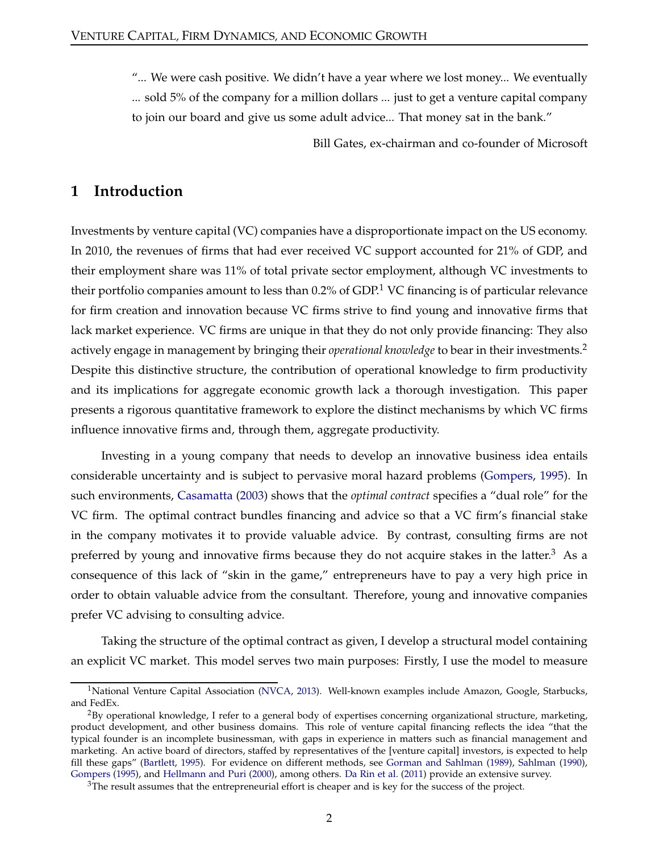"... We were cash positive. We didn't have a year where we lost money... We eventually ... sold 5% of the company for a million dollars ... just to get a venture capital company to join our board and give us some adult advice... That money sat in the bank."

Bill Gates, ex-chairman and co-founder of Microsoft

## **1 Introduction**

Investments by venture capital (VC) companies have a disproportionate impact on the US economy. In 2010, the revenues of firms that had ever received VC support accounted for 21% of GDP, and their employment share was 11% of total private sector employment, although VC investments to their portfolio companies amount to less than  $0.2\%$  of GDP.<sup>1</sup> VC financing is of particular relevance for firm creation and innovation because VC firms strive to find young and innovative firms that lack market experience. VC firms are unique in that they do not only provide financing: They also actively engage in management by bringing their *operational knowledge* to bear in their investments.<sup>2</sup> Despite this distinctive structure, the contribution of operational knowledge to firm productivity and its implications for aggregate economic growth lack a thorough investigation. This paper presents a rigorous quantitative framework to explore the distinct mechanisms by which VC firms influence innovative firms and, through them, aggregate productivity.

Investing in a young company that needs to develop an innovative business idea entails considerable uncertainty and is subject to pervasive moral hazard problems [\(Gompers](#page-33-0), [1995\)](#page-33-0). In such environments, [Casamatta](#page-33-1) [\(2003](#page-33-1)) shows that the *optimal contract* specifies a "dual role" for the VC firm. The optimal contract bundles financing and advice so that a VC firm's financial stake in the company motivates it to provide valuable advice. By contrast, consulting firms are not preferred by young and innovative firms because they do not acquire stakes in the latter.<sup>3</sup> As a consequence of this lack of "skin in the game," entrepreneurs have to pay a very high price in order to obtain valuable advice from the consultant. Therefore, young and innovative companies prefer VC advising to consulting advice.

Taking the structure of the optimal contract as given, I develop a structural model containing an explicit VC market. This model serves two main purposes: Firstly, I use the model to measure

<sup>&</sup>lt;sup>1</sup>National Venture Capital Association [\(NVCA](#page-35-0), [2013\)](#page-35-0). Well-known examples include Amazon, Google, Starbucks, and FedEx.

<sup>&</sup>lt;sup>2</sup>By operational knowledge, I refer to a general body of expertises concerning organizational structure, marketing, product development, and other business domains. This role of venture capital financing reflects the idea "that the typical founder is an incomplete businessman, with gaps in experience in matters such as financial management and marketing. An active board of directors, staffed by representatives of the [venture capital] investors, is expected to help fill these gaps" [\(Bartlett](#page-32-0), [1995\)](#page-32-0). For evidence on different methods, see [Gorman and Sahlman](#page-33-2) [\(1989](#page-33-2)), [Sahlman](#page-35-1) [\(1990\)](#page-35-1), [Gompers](#page-33-0) [\(1995\)](#page-33-0), and [Hellmann and Puri](#page-34-0) [\(2000](#page-34-0)), among others. [Da Rin et al.](#page-33-3) [\(2011](#page-33-3)) provide an extensive survey.

<sup>&</sup>lt;sup>3</sup>The result assumes that the entrepreneurial effort is cheaper and is key for the success of the project.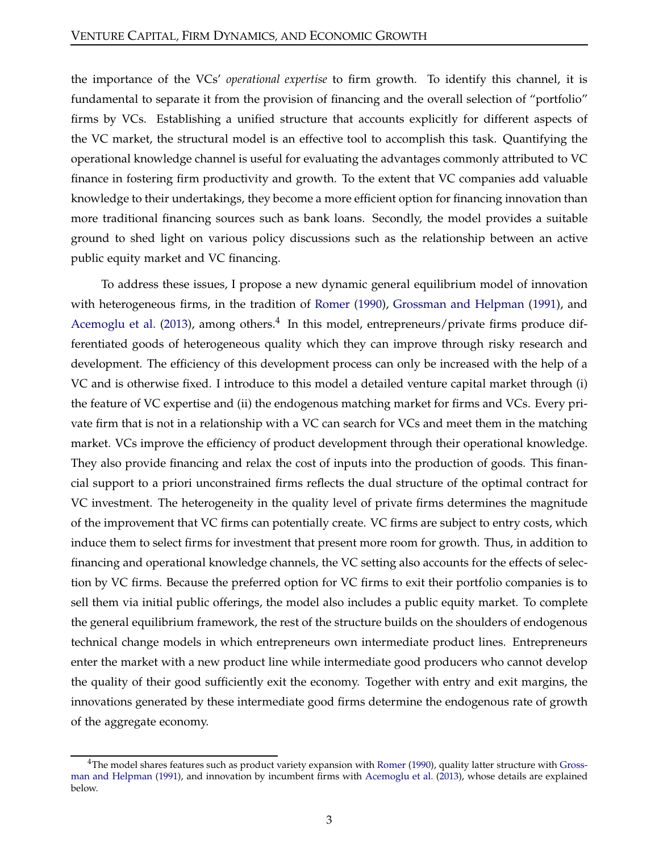the importance of the VCs' *operational expertise* to firm growth. To identify this channel, it is fundamental to separate it from the provision of financing and the overall selection of "portfolio" firms by VCs. Establishing a unified structure that accounts explicitly for different aspects of the VC market, the structural model is an effective tool to accomplish this task. Quantifying the operational knowledge channel is useful for evaluating the advantages commonly attributed to VC finance in fostering firm productivity and growth. To the extent that VC companies add valuable knowledge to their undertakings, they become a more efficient option for financing innovation than more traditional financing sources such as bank loans. Secondly, the model provides a suitable ground to shed light on various policy discussions such as the relationship between an active public equity market and VC financing.

To address these issues, I propose a new dynamic general equilibrium model of innovation with heterogeneous firms, in the tradition of [Romer](#page-35-2) [\(1990\)](#page-35-2), [Grossman and Helpman](#page-34-1) [\(1991](#page-34-1)), and [Acemoglu et al.](#page-32-1) [\(2013\)](#page-32-1), among others. $4\,$  In this model, entrepreneurs/private firms produce differentiated goods of heterogeneous quality which they can improve through risky research and development. The efficiency of this development process can only be increased with the help of a VC and is otherwise fixed. I introduce to this model a detailed venture capital market through (i) the feature of VC expertise and (ii) the endogenous matching market for firms and VCs. Every private firm that is not in a relationship with a VC can search for VCs and meet them in the matching market. VCs improve the efficiency of product development through their operational knowledge. They also provide financing and relax the cost of inputs into the production of goods. This financial support to a priori unconstrained firms reflects the dual structure of the optimal contract for VC investment. The heterogeneity in the quality level of private firms determines the magnitude of the improvement that VC firms can potentially create. VC firms are subject to entry costs, which induce them to select firms for investment that present more room for growth. Thus, in addition to financing and operational knowledge channels, the VC setting also accounts for the effects of selection by VC firms. Because the preferred option for VC firms to exit their portfolio companies is to sell them via initial public offerings, the model also includes a public equity market. To complete the general equilibrium framework, the rest of the structure builds on the shoulders of endogenous technical change models in which entrepreneurs own intermediate product lines. Entrepreneurs enter the market with a new product line while intermediate good producers who cannot develop the quality of their good sufficiently exit the economy. Together with entry and exit margins, the innovations generated by these intermediate good firms determine the endogenous rate of growth of the aggregate economy.

 $4$ The model sh[ares features such as product variety expansion](#page-34-1) with [Romer](#page-35-2) [\(1990](#page-35-2)), quality latter structure with Grossman and Helpman [\(1991](#page-34-1)), and innovation by incumbent firms with [Acemoglu et al.](#page-32-1) [\(2013](#page-32-1)), whose details are explained below.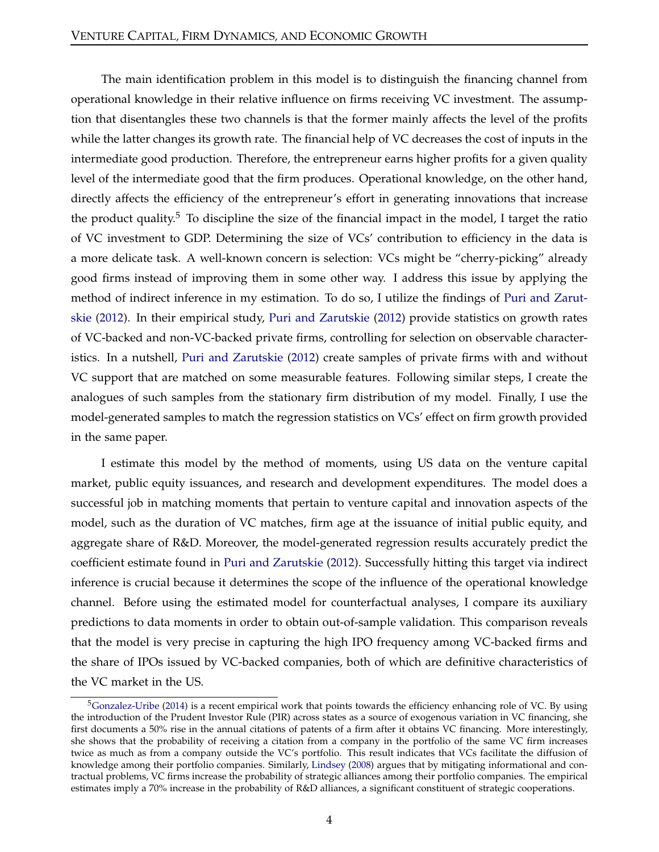The main identification problem in this model is to distinguish the financing channel from operational knowledge in their relative influence on firms receiving VC investment. The assumption that disentangles these two channels is that the former mainly affects the level of the profits while the latter changes its growth rate. The financial help of VC decreases the cost of inputs in the intermediate good production. Therefore, the entrepreneur earns higher profits for a given quality level of the intermediate good that the firm produces. Operational knowledge, on the other hand, directly affects the efficiency of the entrepreneur's effort in generating innovations that increase the product quality.<sup>5</sup> To discipline the size of the financial impact in the model, I target the ratio of VC investment to GDP. Determining the size of VCs' contribution to efficiency in the data is a more delicate task. A well-known concern is selection: VCs might be "cherry-picking" already good firms instead of improving them in some other way. I address this issue by applying the met[hod of indirect inference in my estimation. To do so, I utilize the findings of](#page-35-3) Puri and Zarutskie [\(2012\)](#page-35-3). In their empirical study, [Puri and Zarutskie](#page-35-3) [\(2012](#page-35-3)) provide statistics on growth rates of VC-backed and non-VC-backed private firms, controlling for selection on observable characteristics. In a nutshell, [Puri and Zarutskie](#page-35-3) [\(2012\)](#page-35-3) create samples of private firms with and without VC support that are matched on some measurable features. Following similar steps, I create the analogues of such samples from the stationary firm distribution of my model. Finally, I use the model-generated samples to match the regression statistics on VCs' effect on firm growth provided in the same paper.

I estimate this model by the method of moments, using US data on the venture capital market, public equity issuances, and research and development expenditures. The model does a successful job in matching moments that pertain to venture capital and innovation aspects of the model, such as the duration of VC matches, firm age at the issuance of initial public equity, and aggregate share of R&D. Moreover, the model-generated regression results accurately predict the coefficient estimate found in [Puri and Zarutskie](#page-35-3) [\(2012](#page-35-3)). Successfully hitting this target via indirect inference is crucial because it determines the scope of the influence of the operational knowledge channel. Before using the estimated model for counterfactual analyses, I compare its auxiliary predictions to data moments in order to obtain out-of-sample validation. This comparison reveals that the model is very precise in capturing the high IPO frequency among VC-backed firms and the share of IPOs issued by VC-backed companies, both of which are definitive characteristics of the VC market in the US.

 $5$ [Gonzalez-Uribe](#page-33-4) [\(2014\)](#page-33-4) is a recent empirical work that points towards the efficiency enhancing role of VC. By using the introduction of the Prudent Investor Rule (PIR) across states as a source of exogenous variation in VC financing, she first documents a 50% rise in the annual citations of patents of a firm after it obtains VC financing. More interestingly, she shows that the probability of receiving a citation from a company in the portfolio of the same VC firm increases twice as much as from a company outside the VC's portfolio. This result indicates that VCs facilitate the diffusion of knowledge among their portfolio companies. Similarly, [Lindsey](#page-35-4) [\(2008\)](#page-35-4) argues that by mitigating informational and contractual problems, VC firms increase the probability of strategic alliances among their portfolio companies. The empirical estimates imply a 70% increase in the probability of R&D alliances, a significant constituent of strategic cooperations.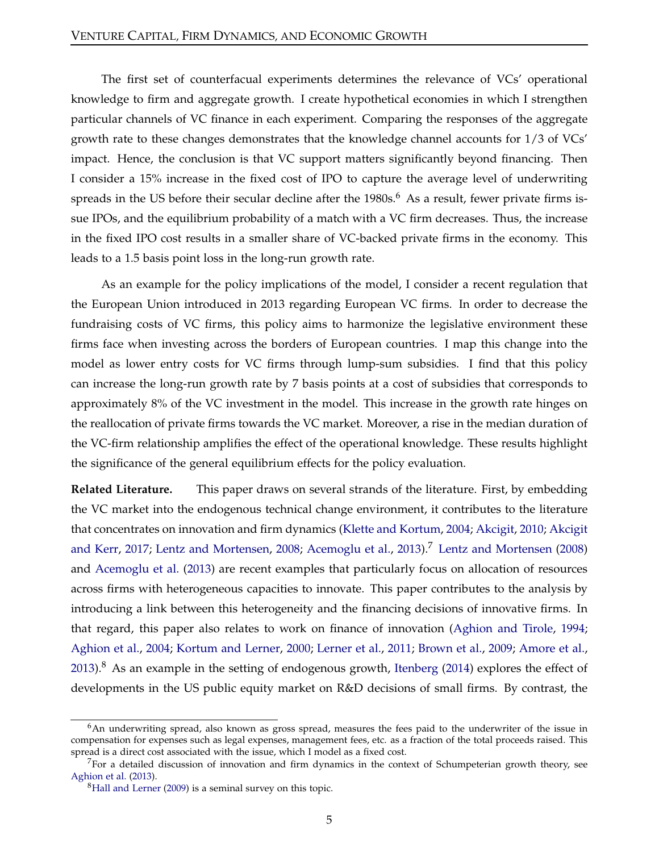The first set of counterfacual experiments determines the relevance of VCs' operational knowledge to firm and aggregate growth. I create hypothetical economies in which I strengthen particular channels of VC finance in each experiment. Comparing the responses of the aggregate growth rate to these changes demonstrates that the knowledge channel accounts for 1/3 of VCs' impact. Hence, the conclusion is that VC support matters significantly beyond financing. Then I consider a 15% increase in the fixed cost of IPO to capture the average level of underwriting spreads in the US before their secular decline after the  $1980s<sup>6</sup>$ . As a result, fewer private firms issue IPOs, and the equilibrium probability of a match with a VC firm decreases. Thus, the increase in the fixed IPO cost results in a smaller share of VC-backed private firms in the economy. This leads to a 1.5 basis point loss in the long-run growth rate.

As an example for the policy implications of the model, I consider a recent regulation that the European Union introduced in 2013 regarding European VC firms. In order to decrease the fundraising costs of VC firms, this policy aims to harmonize the legislative environment these firms face when investing across the borders of European countries. I map this change into the model as lower entry costs for VC firms through lump-sum subsidies. I find that this policy can increase the long-run growth rate by 7 basis points at a cost of subsidies that corresponds to approximately 8% of the VC investment in the model. This increase in the growth rate hinges on the reallocation of private firms towards the VC market. Moreover, a rise in the median duration of the VC-firm relationship amplifies the effect of the operational knowledge. These results highlight the significance of the general equilibrium effects for the policy evaluation.

**Related Literature.** This paper draws on several strands of the literature. First, by embedding the VC market into the endogenous technical change environment, it contributes to the literature that conc[entrates on innovation and firm dynamics](#page-32-3) [\(Klette and Kortum,](#page-34-2) [2004;](#page-34-2) [Akcigit,](#page-32-2) [2010](#page-32-2); Akcigit and Kerr, [2017](#page-32-3); [Lentz and Mortensen](#page-34-3), [2008;](#page-34-3) [Acemoglu et al.](#page-32-1), [2013](#page-32-1)).<sup>7</sup> Lentz and Mortensen [\(2008\)](#page-34-3) and [Acemoglu et al.](#page-32-1) [\(2013](#page-32-1)) are recent examples that particularly focus on allocation of resources across firms with heterogeneous capacities to innovate. This paper contributes to the analysis by introducing a link between this heterogeneity and the financing decisions of innovative firms. In that regard, this paper also relates to work on finance of innovation [\(Aghion and Tirole,](#page-32-4) [1994](#page-32-4); [Aghion et al.,](#page-32-5) [2004;](#page-32-5) [Kortum and Lerner](#page-34-4), [2000;](#page-34-4) [Lerner et al.](#page-35-5), [2011;](#page-35-5) [Brown et al.](#page-33-5), [2009](#page-33-5); [Amore et al.](#page-32-6), [2013\)](#page-32-6).<sup>8</sup> As an example in the setting of endogenous growth, [Itenberg](#page-34-5) [\(2014\)](#page-34-5) explores the effect of developments in the US public equity market on R&D decisions of small firms. By contrast, the

<sup>&</sup>lt;sup>6</sup>An underwriting spread, also known as gross spread, measures the fees paid to the underwriter of the issue in compensation for expenses such as legal expenses, management fees, etc. as a fraction of the total proceeds raised. This spread is a direct cost associated with the issue, which I model as a fixed cost.

 $<sup>7</sup>$  For a detailed discussion of innovation and firm dynamics in the context of Schumpeterian growth theory, see</sup> [Aghion et al.](#page-32-7) [\(2013\)](#page-32-7).

 ${}^{8}$ [Hall and Lerner](#page-34-6) [\(2009\)](#page-34-6) is a seminal survey on this topic.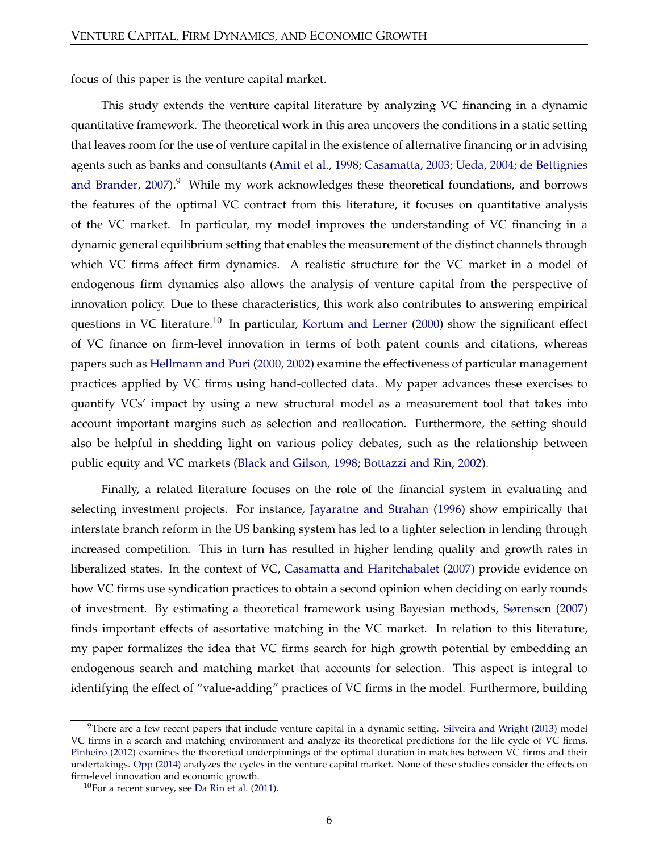focus of this paper is the venture capital market.

This study extends the venture capital literature by analyzing VC financing in a dynamic quantitative framework. The theoretical work in this area uncovers the conditions in a static setting that leaves room for the use of venture capital in the existence of alternative financing or in advising agents such [as banks and consultants](#page-33-6) [\(Amit et al.,](#page-32-8) [1998](#page-32-8); [Casamatta](#page-33-1), [2003](#page-33-1); [Ueda,](#page-36-0) [2004;](#page-36-0) de Bettignies and Brander,  $2007$ ).<sup>9</sup> While my work acknowledges these theoretical foundations, and borrows the features of the optimal VC contract from this literature, it focuses on quantitative analysis of the VC market. In particular, my model improves the understanding of VC financing in a dynamic general equilibrium setting that enables the measurement of the distinct channels through which VC firms affect firm dynamics. A realistic structure for the VC market in a model of endogenous firm dynamics also allows the analysis of venture capital from the perspective of innovation policy. Due to these characteristics, this work also contributes to answering empirical questions in VC literature.<sup>10</sup> In particular, [Kortum and Lerner](#page-34-4) [\(2000](#page-34-4)) show the significant effect of VC finance on firm-level innovation in terms of both patent counts and citations, whereas papers such as [Hellmann and Puri](#page-34-0) [\(2000](#page-34-0), [2002](#page-34-7)) examine the effectiveness of particular management practices applied by VC firms using hand-collected data. My paper advances these exercises to quantify VCs' impact by using a new structural model as a measurement tool that takes into account important margins such as selection and reallocation. Furthermore, the setting should also be helpful in shedding light on various policy debates, such as the relationship between public equity and VC markets [\(Black and Gilson](#page-33-7), [1998](#page-33-7); [Bottazzi and Rin,](#page-33-8) [2002\)](#page-33-8).

Finally, a related literature focuses on the role of the financial system in evaluating and selecting investment projects. For instance, [Jayaratne and Strahan](#page-34-8) [\(1996\)](#page-34-8) show empirically that interstate branch reform in the US banking system has led to a tighter selection in lending through increased competition. This in turn has resulted in higher lending quality and growth rates in liberalized states. In the context of VC, [Casamatta and Haritchabalet](#page-33-9) [\(2007\)](#page-33-9) provide evidence on how VC firms use syndication practices to obtain a second opinion when deciding on early rounds of investment. By estimating a theoretical framework using Bayesian methods, [Sørensen](#page-36-1) [\(2007\)](#page-36-1) finds important effects of assortative matching in the VC market. In relation to this literature, my paper formalizes the idea that VC firms search for high growth potential by embedding an endogenous search and matching market that accounts for selection. This aspect is integral to identifying the effect of "value-adding" practices of VC firms in the model. Furthermore, building

 $9$ There are a few recent papers that include venture capital in a dynamic setting. [Silveira and Wright](#page-36-2) [\(2013\)](#page-36-2) model VC firms in a search and matching environment and analyze its theoretical predictions for the life cycle of VC firms. [Pinheiro](#page-35-6) [\(2012](#page-35-6)) examines the theoretical underpinnings of the optimal duration in matches between VC firms and their undertakings. [Opp](#page-35-7) [\(2014](#page-35-7)) analyzes the cycles in the venture capital market. None of these studies consider the effects on firm-level innovation and economic growth.

 $10$ For a recent survey, see [Da Rin et al.](#page-33-3) [\(2011\)](#page-33-3).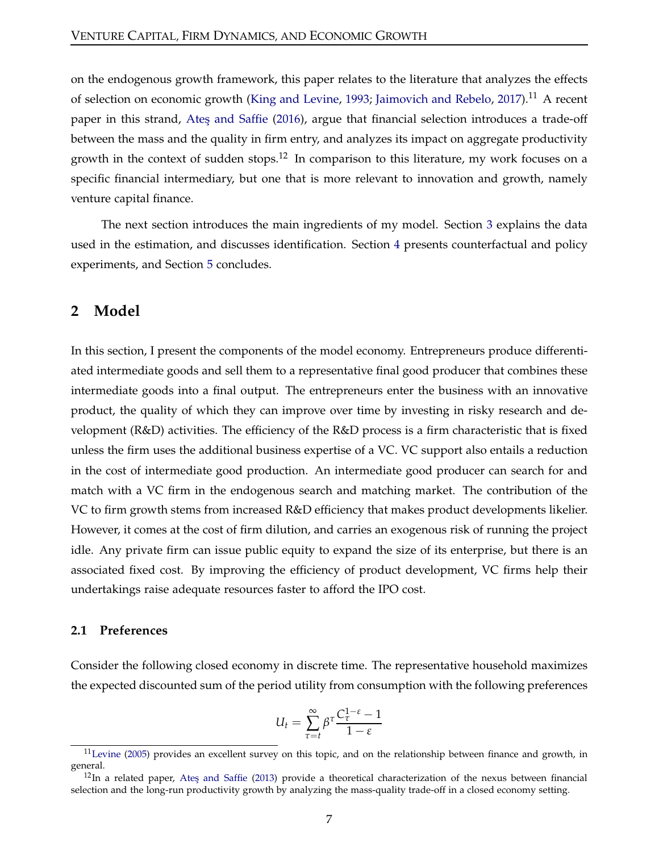on the endogenous growth framework, this paper relates to the literature that analyzes the effects of selection on economic growth [\(King and Levine](#page-34-9), [1993](#page-34-9); [Jaimovich and Rebelo](#page-34-10), [2017\)](#page-34-10).<sup>11</sup> A recent paper in this strand, Ates and Saffie [\(2016](#page-32-9)), argue that financial selection introduces a trade-off between the mass and the quality in firm entry, and analyzes its impact on aggregate productivity growth in the context of sudden stops.<sup>12</sup> In comparison to this literature, my work focuses on a specific financial intermediary, but one that is more relevant to innovation and growth, namely venture capital finance.

The next section introduces the main ingredients of my model. Section [3](#page-16-0) explains the data used in the estimation, and discusses identification. Section [4](#page-25-0) presents counterfactual and policy experiments, and Section [5](#page-30-0) concludes.

## **2 Model**

In this section, I present the components of the model economy. Entrepreneurs produce differentiated intermediate goods and sell them to a representative final good producer that combines these intermediate goods into a final output. The entrepreneurs enter the business with an innovative product, the quality of which they can improve over time by investing in risky research and development (R&D) activities. The efficiency of the R&D process is a firm characteristic that is fixed unless the firm uses the additional business expertise of a VC. VC support also entails a reduction in the cost of intermediate good production. An intermediate good producer can search for and match with a VC firm in the endogenous search and matching market. The contribution of the VC to firm growth stems from increased R&D efficiency that makes product developments likelier. However, it comes at the cost of firm dilution, and carries an exogenous risk of running the project idle. Any private firm can issue public equity to expand the size of its enterprise, but there is an associated fixed cost. By improving the efficiency of product development, VC firms help their undertakings raise adequate resources faster to afford the IPO cost.

#### **2.1 Preferences**

Consider the following closed economy in discrete time. The representative household maximizes the expected discounted sum of the period utility from consumption with the following preferences

$$
U_t = \sum_{\tau=t}^{\infty} \beta^{\tau} \frac{C_{\tau}^{1-\varepsilon} - 1}{1-\varepsilon}
$$

 $11$ [Levine](#page-35-8) [\(2005](#page-35-8)) provides an excellent survey on this topic, and on the relationship between finance and growth, in general.

 $12$ In a related paper, Ates and Saffie [\(2013\)](#page-32-10) provide a theoretical characterization of the nexus between financial selection and the long-run productivity growth by analyzing the mass-quality trade-off in a closed economy setting.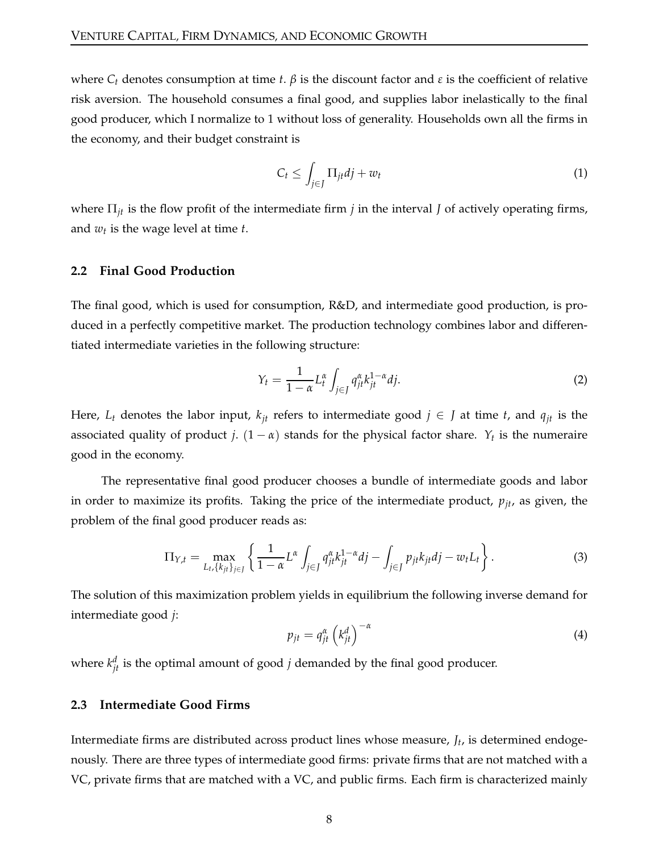where *C<sup>t</sup>* denotes consumption at time *t*. *β* is the discount factor and *ε* is the coefficient of relative risk aversion. The household consumes a final good, and supplies labor inelastically to the final good producer, which I normalize to 1 without loss of generality. Households own all the firms in the economy, and their budget constraint is

<span id="page-7-2"></span>
$$
C_t \le \int_{j\in J} \Pi_{jt} dj + w_t \tag{1}
$$

where Π*jt* is the flow profit of the intermediate firm *j* in the interval *J* of actively operating firms, and *w<sup>t</sup>* is the wage level at time *t*.

#### **2.2 Final Good Production**

The final good, which is used for consumption, R&D, and intermediate good production, is produced in a perfectly competitive market. The production technology combines labor and differentiated intermediate varieties in the following structure:

<span id="page-7-1"></span>
$$
Y_t = \frac{1}{1 - \alpha} L_t^{\alpha} \int_{j \in J} q_{jt}^{\alpha} k_{jt}^{1 - \alpha} dj. \tag{2}
$$

Here,  $L_t$  denotes the labor input,  $k_{jt}$  refers to intermediate good  $j \in J$  at time  $t$ , and  $q_{jt}$  is the associated quality of product *j*. (1 − *α*) stands for the physical factor share. *Y<sup>t</sup>* is the numeraire good in the economy.

The representative final good producer chooses a bundle of intermediate goods and labor in order to maximize its profits. Taking the price of the intermediate product,  $p_{jt}$ , as given, the problem of the final good producer reads as:

$$
\Pi_{Y,t} = \max_{L_t, \{k_{jt}\}_{j \in J}} \left\{ \frac{1}{1-\alpha} L^{\alpha} \int_{j \in J} q_{jt}^{\alpha} k_{jt}^{1-\alpha} dj - \int_{j \in J} p_{jt} k_{jt} dj - w_t L_t \right\}.
$$
 (3)

The solution of this maximization problem yields in equilibrium the following inverse demand for intermediate good *j*:

<span id="page-7-0"></span>
$$
p_{jt} = q_{jt}^{\alpha} \left( k_{jt}^d \right)^{-\alpha} \tag{4}
$$

where  $k_{jt}^d$  is the optimal amount of good *j* demanded by the final good producer.

#### **2.3 Intermediate Good Firms**

Intermediate firms are distributed across product lines whose measure, *J<sup>t</sup>* , is determined endogenously. There are three types of intermediate good firms: private firms that are not matched with a VC, private firms that are matched with a VC, and public firms. Each firm is characterized mainly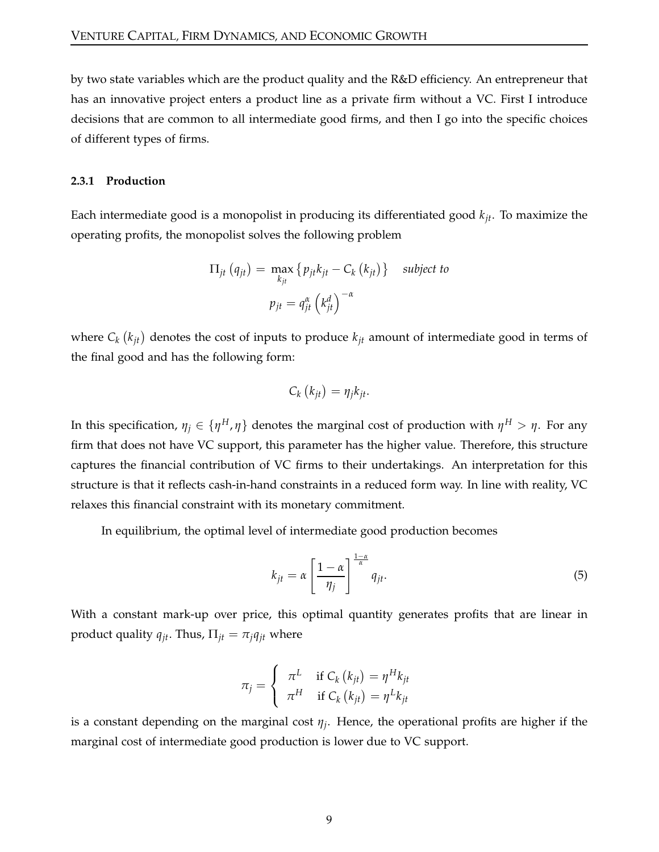by two state variables which are the product quality and the R&D efficiency. An entrepreneur that has an innovative project enters a product line as a private firm without a VC. First I introduce decisions that are common to all intermediate good firms, and then I go into the specific choices of different types of firms.

#### **2.3.1 Production**

Each intermediate good is a monopolist in producing its differentiated good *kjt*. To maximize the operating profits, the monopolist solves the following problem

$$
\Pi_{jt} (q_{jt}) = \max_{k_{jt}} \{ p_{jt} k_{jt} - C_k (k_{jt}) \} \text{ subject to}
$$
\n
$$
p_{jt} = q_{jt}^{\alpha} (k_{jt}^d)^{-\alpha}
$$

where  $C_k$   $(k_{jt})$  denotes the cost of inputs to produce  $k_{jt}$  amount of intermediate good in terms of the final good and has the following form:

$$
C_k(k_{jt}) = \eta_j k_{jt}.
$$

In this specification,  $\eta_j \in \{\eta^H, \eta\}$  denotes the marginal cost of production with  $\eta^H > \eta.$  For any firm that does not have VC support, this parameter has the higher value. Therefore, this structure captures the financial contribution of VC firms to their undertakings. An interpretation for this structure is that it reflects cash-in-hand constraints in a reduced form way. In line with reality, VC relaxes this financial constraint with its monetary commitment.

In equilibrium, the optimal level of intermediate good production becomes

<span id="page-8-0"></span>
$$
k_{jt} = \alpha \left[ \frac{1 - \alpha}{\eta_j} \right]^{\frac{1 - \alpha}{\alpha}} q_{jt}.
$$
 (5)

With a constant mark-up over price, this optimal quantity generates profits that are linear in product quality  $q_{jt}$ . Thus,  $\Pi_{jt} = \pi_i q_{jt}$  where

$$
\pi_j = \begin{cases} \pi^L & \text{if } C_k(k_{jt}) = \eta^H k_{jt} \\ \pi^H & \text{if } C_k(k_{jt}) = \eta^L k_{jt} \end{cases}
$$

is a constant depending on the marginal cost *η<sup>j</sup>* . Hence, the operational profits are higher if the marginal cost of intermediate good production is lower due to VC support.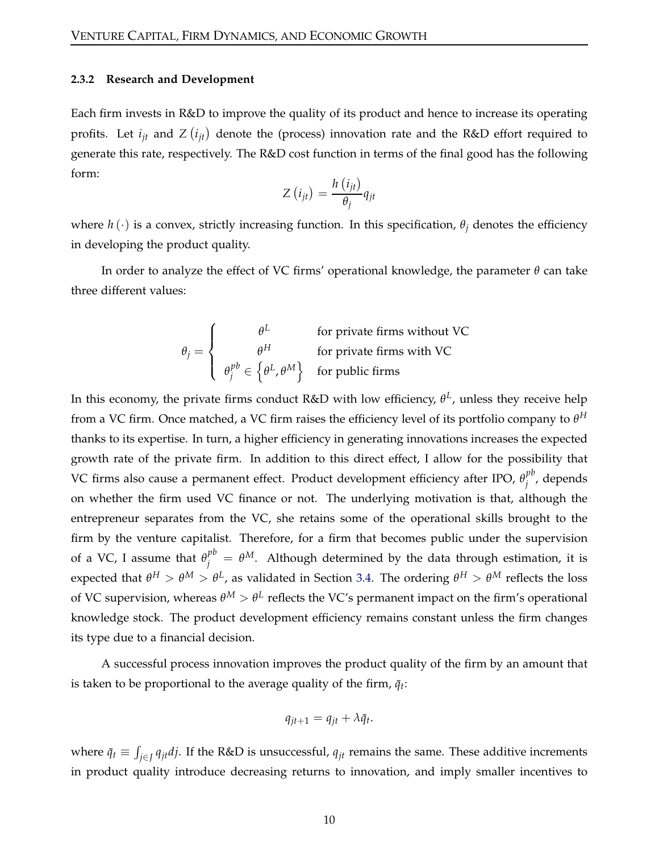#### **2.3.2 Research and Development**

Each firm invests in R&D to improve the quality of its product and hence to increase its operating profits. Let  $i_{jt}$  and  $Z(i_{jt})$  denote the (process) innovation rate and the R&D effort required to generate this rate, respectively. The R&D cost function in terms of the final good has the following form:

$$
Z(i_{jt}) = \frac{h(i_{jt})}{\theta_j} q_{jt}
$$

where  $h(\cdot)$  is a convex, strictly increasing function. In this specification,  $\theta_i$  denotes the efficiency in developing the product quality.

In order to analyze the effect of VC firms' operational knowledge, the parameter *θ* can take three different values:

$$
\theta_j = \begin{cases}\n\theta^L & \text{for private firms without VC} \\
\theta^H & \text{for private firms with VC} \\
\theta_j^{pb} \in \left\{\theta^L, \theta^M\right\} & \text{for public firms}\n\end{cases}
$$

In this economy, the private firms conduct R&D with low efficiency, *θ L* , unless they receive help from a VC firm. Once matched, a VC firm raises the efficiency level of its portfolio company to  $\theta^H$ thanks to its expertise. In turn, a higher efficiency in generating innovations increases the expected growth rate of the private firm. In addition to this direct effect, I allow for the possibility that VC firms also cause a permanent effect. Product development efficiency after IPO,  $\theta_i^{pb}$ *j* , depends on whether the firm used VC finance or not. The underlying motivation is that, although the entrepreneur separates from the VC, she retains some of the operational skills brought to the firm by the venture capitalist. Therefore, for a firm that becomes public under the supervision of a VC, I assume that  $\theta_j^{pb} = \theta^M$ . Although determined by the data through estimation, it is expected that  $θ^H > θ^M > θ^L$ , as validated in Section [3.4.](#page-20-0) The ordering  $θ^H > θ^M$  reflects the loss of VC supervision, whereas  $\theta^M > \theta^L$  reflects the VC's permanent impact on the firm's operational knowledge stock. The product development efficiency remains constant unless the firm changes its type due to a financial decision.

A successful process innovation improves the product quality of the firm by an amount that is taken to be proportional to the average quality of the firm,  $\bar{q}_t$ :

$$
q_{jt+1} = q_{jt} + \lambda \bar{q}_t.
$$

where  $\bar{q}_t \equiv \int_{j\in J} q_{jt}dj$ . If the R&D is unsuccessful,  $q_{jt}$  remains the same. These additive increments in product quality introduce decreasing returns to innovation, and imply smaller incentives to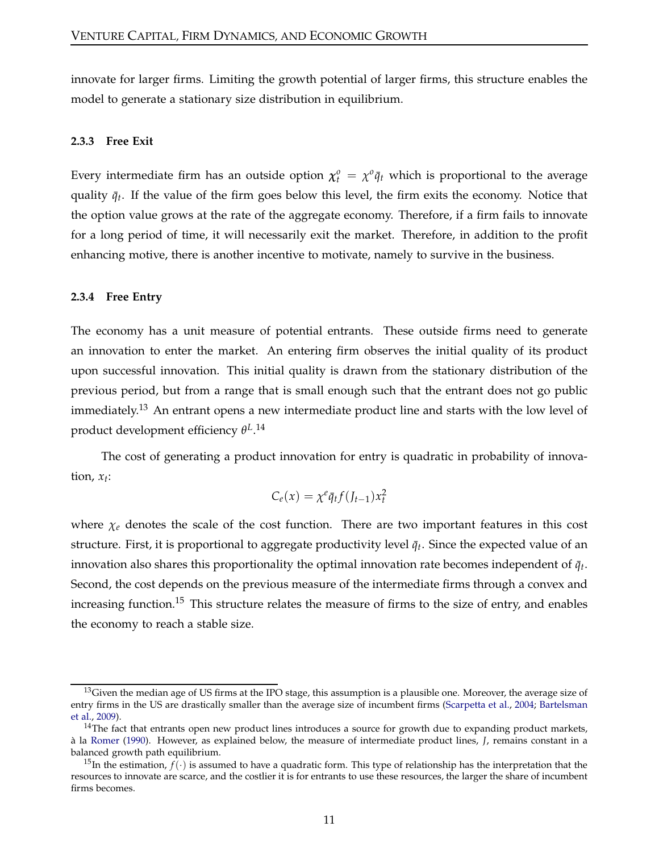innovate for larger firms. Limiting the growth potential of larger firms, this structure enables the model to generate a stationary size distribution in equilibrium.

#### **2.3.3 Free Exit**

Every intermediate firm has an outside option  $\chi_t^0 = \chi^0 \bar{q}_t$  which is proportional to the average quality  $\bar{q}_t$ . If the value of the firm goes below this level, the firm exits the economy. Notice that the option value grows at the rate of the aggregate economy. Therefore, if a firm fails to innovate for a long period of time, it will necessarily exit the market. Therefore, in addition to the profit enhancing motive, there is another incentive to motivate, namely to survive in the business.

#### **2.3.4 Free Entry**

The economy has a unit measure of potential entrants. These outside firms need to generate an innovation to enter the market. An entering firm observes the initial quality of its product upon successful innovation. This initial quality is drawn from the stationary distribution of the previous period, but from a range that is small enough such that the entrant does not go public immediately.<sup>13</sup> An entrant opens a new intermediate product line and starts with the low level of product development efficiency *θ L* . 14

The cost of generating a product innovation for entry is quadratic in probability of innovation, *x<sup>t</sup>* :

$$
C_e(x) = \chi^e \bar{q}_t f(J_{t-1}) x_t^2
$$

where  $\chi_e$  denotes the scale of the cost function. There are two important features in this cost structure. First, it is proportional to aggregate productivity level  $\bar{q}_t$ . Since the expected value of an innovation also shares this proportionality the optimal innovation rate becomes independent of  $\bar{q}_t$ . Second, the cost depends on the previous measure of the intermediate firms through a convex and increasing function.<sup>15</sup> This structure relates the measure of firms to the size of entry, and enables the economy to reach a stable size.

 $13$ Given the median age of US firms at the IPO stage, this assumption is a plausible one. Moreover, the average size of entr[y firms in the US are drastically smaller than the average](#page-32-11) size of incumbent firms [\(Scarpetta et al.,](#page-35-9) [2004](#page-35-9); Bartelsman et al., [2009\)](#page-32-11).

 $14$ The fact that entrants open new product lines introduces a source for growth due to expanding product markets, à la [Romer](#page-35-2) [\(1990](#page-35-2)). However, as explained below, the measure of intermediate product lines, *J*, remains constant in a balanced growth path equilibrium.

<sup>&</sup>lt;sup>15</sup>In the estimation,  $f(.)$  is assumed to have a quadratic form. This type of relationship has the interpretation that the resources to innovate are scarce, and the costlier it is for entrants to use these resources, the larger the share of incumbent firms becomes.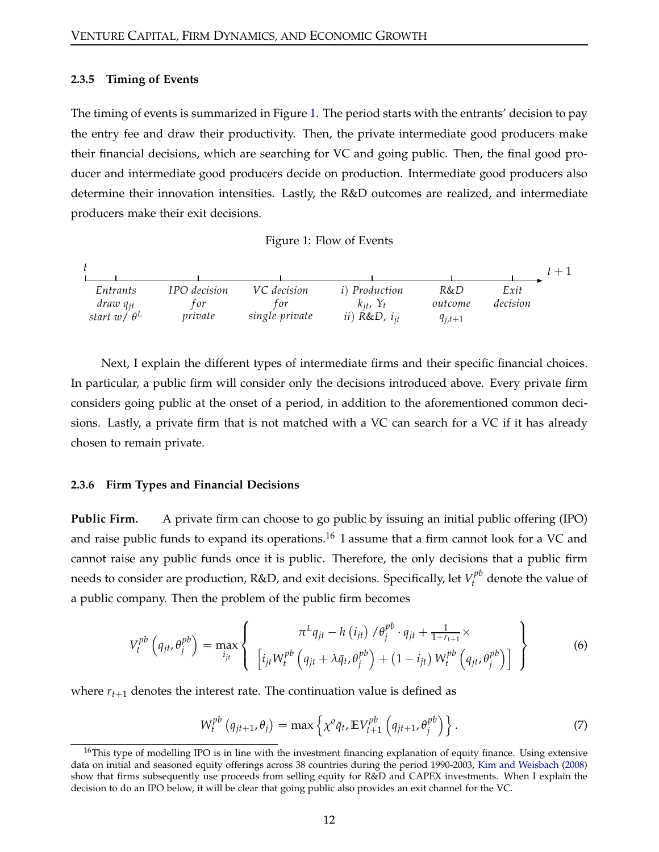#### **2.3.5 Timing of Events**

The timing of events is summarized in Figure [1.](#page-11-0) The period starts with the entrants' decision to pay the entry fee and draw their productivity. Then, the private intermediate good producers make their financial decisions, which are searching for VC and going public. Then, the final good producer and intermediate good producers decide on production. Intermediate good producers also determine their innovation intensities. Lastly, the R&D outcomes are realized, and intermediate producers make their exit decisions.

Figure 1: Flow of Events

<span id="page-11-0"></span>

Next, I explain the different types of intermediate firms and their specific financial choices. In particular, a public firm will consider only the decisions introduced above. Every private firm considers going public at the onset of a period, in addition to the aforementioned common decisions. Lastly, a private firm that is not matched with a VC can search for a VC if it has already chosen to remain private.

#### **2.3.6 Firm Types and Financial Decisions**

**Public Firm.** A private firm can choose to go public by issuing an initial public offering (IPO) and raise public funds to expand its operations.<sup>16</sup> I assume that a firm cannot look for a VC and cannot raise any public funds once it is public. Therefore, the only decisions that a public firm needs to consider are production,  $R&D$ , and exit decisions. Specifically, let  $V^{pb}_t$  denote the value of a public company. Then the problem of the public firm becomes

<span id="page-11-1"></span>
$$
V_t^{pb}\left(q_{jt},\theta_j^{pb}\right) = \max_{i_{jt}} \left\{\begin{array}{c} \pi^L q_{jt} - h\left(i_{jt}\right) / \theta_j^{pb} \cdot q_{jt} + \frac{1}{1+r_{t+1}} \times \\ \left[i_{jt} W_t^{pb}\left(q_{jt} + \lambda \bar{q}_t, \theta_j^{pb}\right) + \left(1 - i_{jt}\right) W_t^{pb}\left(q_{jt}, \theta_j^{pb}\right)\right] \end{array}\right\}
$$
(6)

where  $r_{t+1}$  denotes the interest rate. The continuation value is defined as

<span id="page-11-2"></span>
$$
W_t^{pb}(q_{jt+1}, \theta_j) = \max \left\{ \chi^o \bar{q}_t, \mathbb{E} V_{t+1}^{pb}\left(q_{jt+1}, \theta_j^{pb}\right) \right\}.
$$
 (7)

<sup>&</sup>lt;sup>16</sup>This type of modelling IPO is in line with the investment financing explanation of equity finance. Using extensive data on initial and seasoned equity offerings across 38 countries during the period 1990-2003, [Kim and Weisbach](#page-34-11) [\(2008](#page-34-11)) show that firms subsequently use proceeds from selling equity for R&D and CAPEX investments. When I explain the decision to do an IPO below, it will be clear that going public also provides an exit channel for the VC.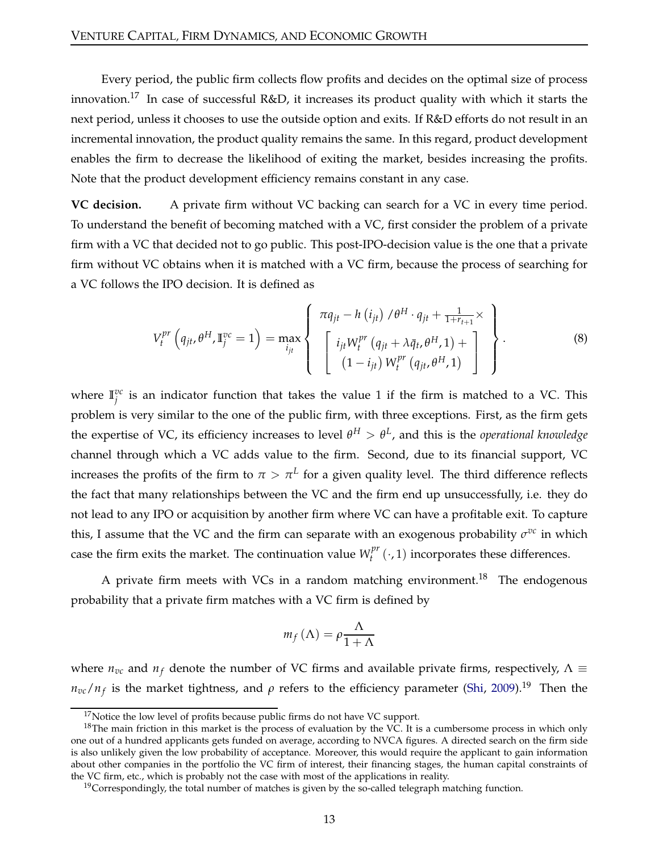Every period, the public firm collects flow profits and decides on the optimal size of process innovation.<sup>17</sup> In case of successful R&D, it increases its product quality with which it starts the next period, unless it chooses to use the outside option and exits. If R&D efforts do not result in an incremental innovation, the product quality remains the same. In this regard, product development enables the firm to decrease the likelihood of exiting the market, besides increasing the profits. Note that the product development efficiency remains constant in any case.

**VC decision.** A private firm without VC backing can search for a VC in every time period. To understand the benefit of becoming matched with a VC, first consider the problem of a private firm with a VC that decided not to go public. This post-IPO-decision value is the one that a private firm without VC obtains when it is matched with a VC firm, because the process of searching for a VC follows the IPO decision. It is defined as

<span id="page-12-0"></span>
$$
V_{t}^{pr} (q_{jt}, \theta^{H}, \mathbb{I}_{j}^{vc} = 1) = \max_{i_{jt}} \left\{ \begin{array}{l} \pi q_{jt} - h (i_{jt}) / \theta^{H} \cdot q_{jt} + \frac{1}{1 + r_{t+1}} \times \\ \left[ i_{jt} W_{t}^{pr} (q_{jt} + \lambda \bar{q}_{t}, \theta^{H}, 1) + \left[ (1 - i_{jt}) W_{t}^{pr} (q_{jt}, \theta^{H}, 1) \right] \end{array} \right\}.
$$
 (8)

where  $\mathbb{I}^{vc}_j$  is an indicator function that takes the value 1 if the firm is matched to a VC. This problem is very similar to the one of the public firm, with three exceptions. First, as the firm gets the expertise of VC, its efficiency increases to level  $\theta^H > \theta^L$ , and this is the *operational knowledge* channel through which a VC adds value to the firm. Second, due to its financial support, VC increases the profits of the firm to  $\pi > \pi^L$  for a given quality level. The third difference reflects the fact that many relationships between the VC and the firm end up unsuccessfully, i.e. they do not lead to any IPO or acquisition by another firm where VC can have a profitable exit. To capture this, I assume that the VC and the firm can separate with an exogenous probability  $\sigma^{vc}$  in which case the firm exits the market. The continuation value  $W_t^{pr}$  $t_t^{pr}(\cdot, 1)$  incorporates these differences.

A private firm meets with VCs in a random matching environment.<sup>18</sup> The endogenous probability that a private firm matches with a VC firm is defined by

$$
m_f(\Lambda) = \rho \frac{\Lambda}{1 + \Lambda}
$$

where  $n_{vc}$  and  $n_f$  denote the number of VC firms and available private firms, respectively,  $\Lambda \equiv$  $n_{vc}/n_f$  is the market tightness, and *ρ* refers to the efficiency parameter [\(Shi,](#page-35-10) [2009\)](#page-35-10).<sup>19</sup> Then the

 $17$ Notice the low level of profits because public firms do not have VC support.

 $18$ The main friction in this market is the process of evaluation by the VC. It is a cumbersome process in which only one out of a hundred applicants gets funded on average, according to NVCA figures. A directed search on the firm side is also unlikely given the low probability of acceptance. Moreover, this would require the applicant to gain information about other companies in the portfolio the VC firm of interest, their financing stages, the human capital constraints of the VC firm, etc., which is probably not the case with most of the applications in reality.

 $19$ Correspondingly, the total number of matches is given by the so-called telegraph matching function.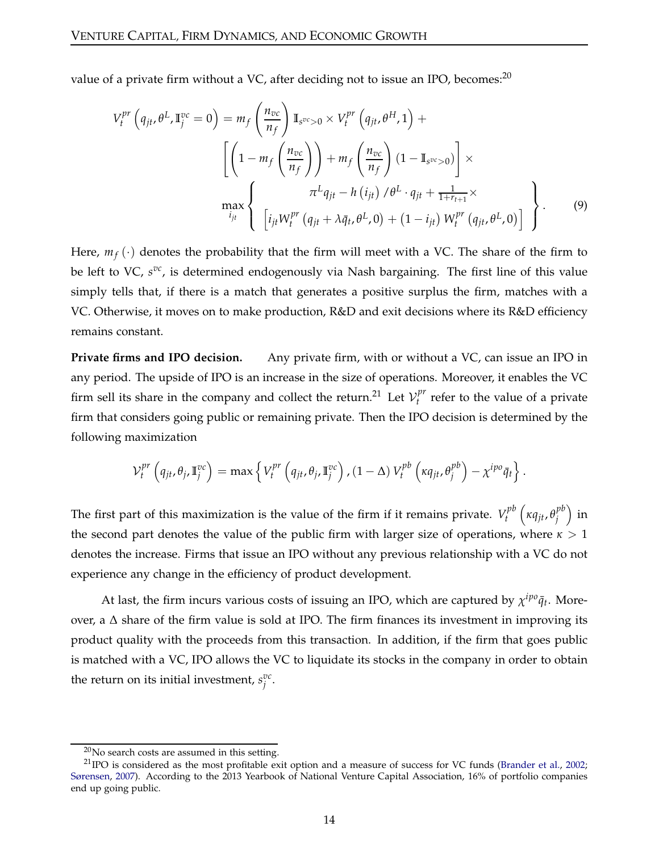value of a private firm without a VC, after deciding not to issue an IPO, becomes: $^{20}$ 

<span id="page-13-0"></span>
$$
V_t^{pr} \left( q_{jt}, \theta^L, \mathbb{I}_j^{vc} = 0 \right) = m_f \left( \frac{n_{vc}}{n_f} \right) \mathbb{I}_{s^{vc} > 0} \times V_t^{pr} \left( q_{jt}, \theta^H, 1 \right) + \left[ \left( 1 - m_f \left( \frac{n_{vc}}{n_f} \right) \right) + m_f \left( \frac{n_{vc}}{n_f} \right) (1 - \mathbb{I}_{s^{vc} > 0}) \right] \times \pi^L q_{jt} - h \left( i_{jt} \right) / \theta^L \cdot q_{jt} + \frac{1}{1 + r_{t+1}} \times \max_{i_{jt}} \left\{ \left[ i_{jt} W_t^{pr} \left( q_{jt} + \lambda \bar{q}_t, \theta^L, 0 \right) + \left( 1 - i_{jt} \right) W_t^{pr} \left( q_{jt}, \theta^L, 0 \right) \right] \right\}.
$$
 (9)

Here,  $m_f(\cdot)$  denotes the probability that the firm will meet with a VC. The share of the firm to be left to VC,  $s^{vc}$ , is determined endogenously via Nash bargaining. The first line of this value simply tells that, if there is a match that generates a positive surplus the firm, matches with a VC. Otherwise, it moves on to make production, R&D and exit decisions where its R&D efficiency remains constant.

**Private firms and IPO decision.** Any private firm, with or without a VC, can issue an IPO in any period. The upside of IPO is an increase in the size of operations. Moreover, it enables the VC firm sell its share in the company and collect the return.<sup>21</sup> Let  $\mathcal{V}_t^{pr}$  $t<sup>\mu</sup>$  refer to the value of a private firm that considers going public or remaining private. Then the IPO decision is determined by the following maximization

$$
\mathcal{V}_t^{pr} \left( q_{jt}, \theta_j, \mathbb{I}_j^{vc} \right) = \max \left\{ V_t^{pr} \left( q_{jt}, \theta_j, \mathbb{I}_j^{vc} \right), \left( 1 - \Delta \right) V_t^{pb} \left( \kappa q_{jt}, \theta_j^{pb} \right) - \chi^{ipo} \bar{q}_t \right\}.
$$

The first part of this maximization is the value of the firm if it remains private.  $V_t^{pb}$ *t κqjt*, *θ pb*  $_{j}^{pb}\Big)$  in the second part denotes the value of the public firm with larger size of operations, where  $\kappa > 1$ denotes the increase. Firms that issue an IPO without any previous relationship with a VC do not experience any change in the efficiency of product development.

At last, the firm incurs various costs of issuing an IPO, which are captured by  $\chi^{ipo}\bar{q}_t$ . Moreover, a ∆ share of the firm value is sold at IPO. The firm finances its investment in improving its product quality with the proceeds from this transaction. In addition, if the firm that goes public is matched with a VC, IPO allows the VC to liquidate its stocks in the company in order to obtain the return on its initial investment,  $s_j^{vc}$ .

 $20$ No search costs are assumed in this setting.

 $^{21}$  IPO is considered as the most profitable exit option and a measure of success for VC funds [\(Brander et al.](#page-33-10), [2002;](#page-33-10) [Sørensen](#page-36-1), [2007](#page-36-1)). According to the 2013 Yearbook of National Venture Capital Association, 16% of portfolio companies end up going public.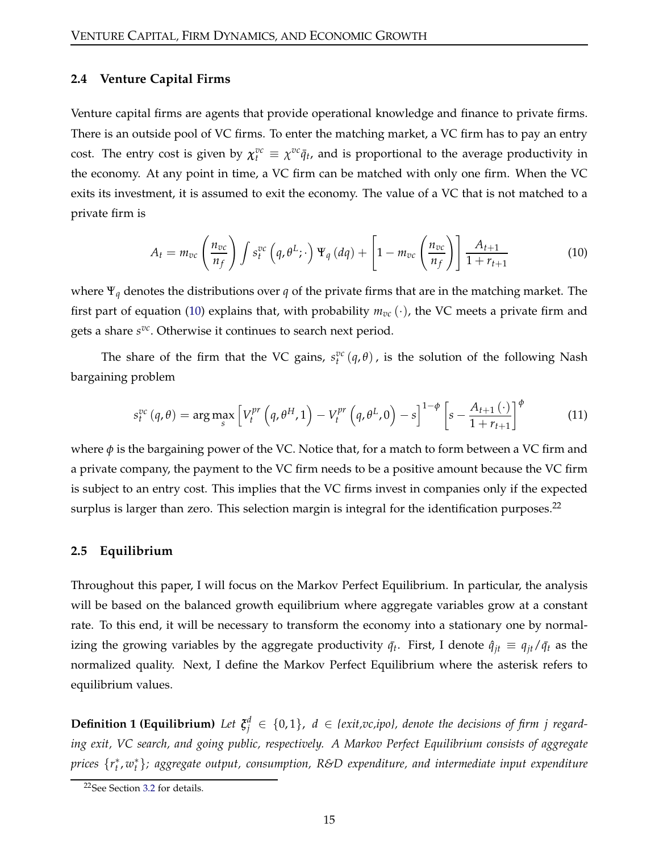#### **2.4 Venture Capital Firms**

Venture capital firms are agents that provide operational knowledge and finance to private firms. There is an outside pool of VC firms. To enter the matching market, a VC firm has to pay an entry cost. The entry cost is given by  $\chi_t^{vc} \equiv \chi^{vc} \bar{q}_t$ , and is proportional to the average productivity in the economy. At any point in time, a VC firm can be matched with only one firm. When the VC exits its investment, it is assumed to exit the economy. The value of a VC that is not matched to a private firm is

<span id="page-14-0"></span>
$$
A_t = m_{vc} \left(\frac{n_{vc}}{n_f}\right) \int s_t^{vc} \left(q, \theta^L; \cdot\right) \Psi_q\left(dq\right) + \left[1 - m_{vc} \left(\frac{n_{vc}}{n_f}\right)\right] \frac{A_{t+1}}{1 + r_{t+1}} \tag{10}
$$

where Ψ*<sup>q</sup>* denotes the distributions over *q* of the private firms that are in the matching market. The first part of equation [\(10\)](#page-14-0) explains that, with probability  $m_{vc}(\cdot)$ , the VC meets a private firm and gets a share  $s^{vc}$ . Otherwise it continues to search next period.

The share of the firm that the VC gains,  $s_t^{vc}(q, \theta)$ , is the solution of the following Nash bargaining problem

<span id="page-14-1"></span>
$$
s_t^{vc}(q,\theta) = \arg\max_s \left[ V_t^{pr}\left(q,\theta^H,1\right) - V_t^{pr}\left(q,\theta^L,0\right) - s \right]^{1-\phi} \left[ s - \frac{A_{t+1}(\cdot)}{1+r_{t+1}} \right]^{\phi} \tag{11}
$$

where  $\phi$  is the bargaining power of the VC. Notice that, for a match to form between a VC firm and a private company, the payment to the VC firm needs to be a positive amount because the VC firm is subject to an entry cost. This implies that the VC firms invest in companies only if the expected surplus is larger than zero. This selection margin is integral for the identification purposes.<sup>22</sup>

#### <span id="page-14-2"></span>**2.5 Equilibrium**

Throughout this paper, I will focus on the Markov Perfect Equilibrium. In particular, the analysis will be based on the balanced growth equilibrium where aggregate variables grow at a constant rate. To this end, it will be necessary to transform the economy into a stationary one by normalizing the growing variables by the aggregate productivity  $\bar{q}_t$ . First, I denote  $\hat{q}_{jt} \equiv q_{jt}/\bar{q}_t$  as the normalized quality. Next, I define the Markov Perfect Equilibrium where the asterisk refers to equilibrium values.

**Definition 1 (Equilibrium)** Let  $\xi_j^d \in \{0,1\}$ ,  $d \in \{exit, vc, ipo\}$ , denote the decisions of firm j regard*ing exit, VC search, and going public, respectively. A Markov Perfect Equilibrium consists of aggregate prices*  $\{r_t^*, w_t^*\}$ *; aggregate output, consumption, R&D expenditure, and intermediate input expenditure* 

<sup>22</sup>See Section [3.2](#page-17-0) for details.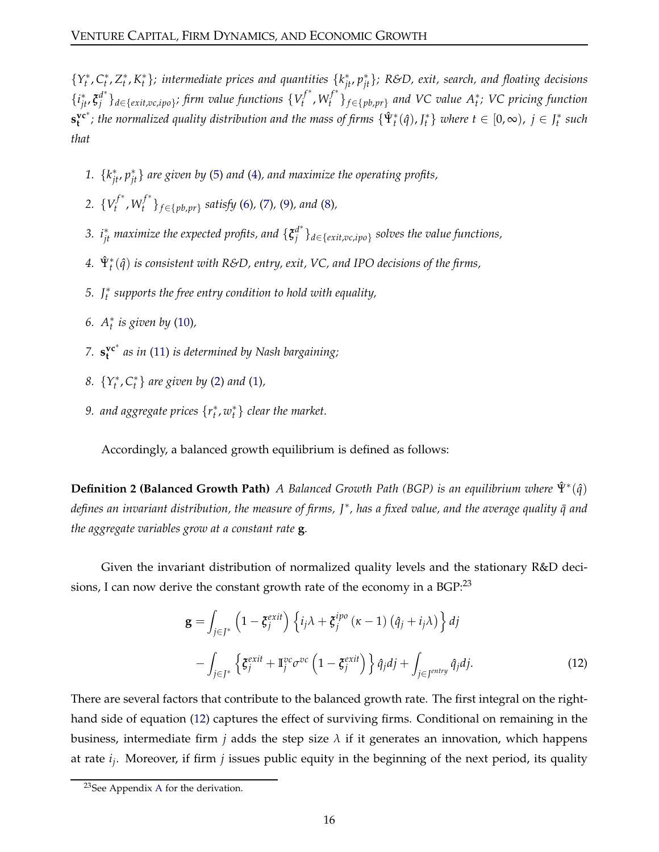$\{Y_t^*, C_t^*, Z_t^*, K_t^*\}$ ; intermediate prices and quantities  $\{k_{jt}^*, p_{jt}^*\}$ ; R&D, exit, search, and floating decisions  $\{i^*_{jt}, \xi^{d^*}_j\}$ *j* }*d*∈{*exit*,*vc*,*ipo*} *; firm value functions* {*V f* ∗ *t* ,*W f* ∗ *t* }*f*∈{*pb*,*pr*} *and VC value A*<sup>∗</sup> *t ; VC pricing function*  $\mathbf{s}_{\mathbf{t}}^{\mathbf{v} \mathbf{c}^*}$ ; the normalized quality distribution and the mass of firms  $\{\hat{\Psi}_t^*(\hat{q}),J_t^*\}$  where  $t\in[0,\infty)$ ,  $j\in J_t^*$  such *that*

- *1.* {*k* ∗ *jt*, *p* ∗ *jt*} *are given by* [\(5\)](#page-8-0) *and* [\(4\)](#page-7-0)*, and maximize the operating profits,*
- 2.  $\{V_t^{f^*}\}$ *t*<sup>+</sup>, *W*<sub>t</sub><sup>†∗</sup> *t* }*f*∈{*pb*,*pr*} *satisfy* [\(6\)](#page-11-1)*,* [\(7\)](#page-11-2)*,* [\(9\)](#page-13-0)*, and* [\(8\)](#page-12-0)*,*
- 3.  $i_{jt}^*$  *maximize the expected profits, and*  $\{{\boldsymbol{\xi}}_j^{{d^*}}\}$ *j* }*d*∈{*exit*,*vc*,*ipo*} *solves the value functions,*
- *4.* Ψˆ <sup>∗</sup> *t* (*q*ˆ) *is consistent with R&D, entry, exit, VC, and IPO decisions of the firms,*
- *5. J*<sup>∗</sup> *t supports the free entry condition to hold with equality,*
- *6. A*<sup>∗</sup> *t is given by* [\(10\)](#page-14-0)*,*
- *7.* **s vc**<sup>∗</sup> **t** *as in* [\(11\)](#page-14-1) *is determined by Nash bargaining;*
- *8.*  $\{Y_t^*, C_t^*\}$  are given by [\(2\)](#page-7-1) and [\(1\)](#page-7-2),
- 9. and aggregate prices  $\{r_t^*, w_t^*\}$  clear the market.

Accordingly, a balanced growth equilibrium is defined as follows:

**Definition 2 (Balanced Growth Path)** *A Balanced Growth Path (BGP) is an equilibrium where*  $\hat{\Psi}^*(\hat{q})$ *defines an invariant distribution, the measure of firms, J*<sup>∗</sup> *, has a fixed value, and the average quality q and* ¯ *the aggregate variables grow at a constant rate* **g***.*

Given the invariant distribution of normalized quality levels and the stationary R&D decisions, I can now derive the constant growth rate of the economy in a  $BGP<sup>23</sup>$ 

<span id="page-15-0"></span>
$$
\mathbf{g} = \int_{j \in J^*} \left( 1 - \xi_j^{exit} \right) \left\{ i_j \lambda + \xi_j^{ipo} \left( \kappa - 1 \right) \left( \hat{q}_j + i_j \lambda \right) \right\} dj
$$

$$
- \int_{j \in J^*} \left\{ \xi_j^{exit} + \mathbb{I}_j^{vc} \sigma^{vc} \left( 1 - \xi_j^{exit} \right) \right\} \hat{q}_j dj + \int_{j \in J^{entry}} \hat{q}_j dj. \tag{12}
$$

There are several factors that contribute to the balanced growth rate. The first integral on the righthand side of equation [\(12\)](#page-15-0) captures the effect of surviving firms. Conditional on remaining in the business, intermediate firm *j* adds the step size *λ* if it generates an innovation, which happens at rate *i<sup>j</sup>* . Moreover, if firm *j* issues public equity in the beginning of the next period, its quality

<sup>&</sup>lt;sup>23</sup>See [A](#page-37-0)ppendix A for the derivation.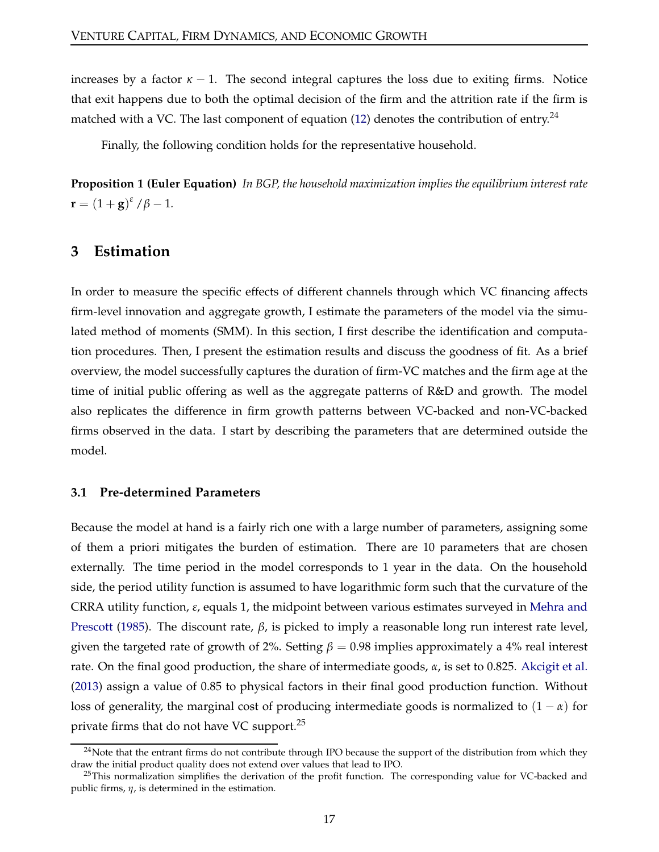increases by a factor  $\kappa - 1$ . The second integral captures the loss due to exiting firms. Notice that exit happens due to both the optimal decision of the firm and the attrition rate if the firm is matched with a VC. The last component of equation [\(12\)](#page-15-0) denotes the contribution of entry.<sup>24</sup>

Finally, the following condition holds for the representative household.

**Proposition 1 (Euler Equation)** *In BGP, the household maximization implies the equilibrium interest rate* **r** =  $(1+g)^{\varepsilon}/\beta-1$ *.* 

## <span id="page-16-0"></span>**3 Estimation**

In order to measure the specific effects of different channels through which VC financing affects firm-level innovation and aggregate growth, I estimate the parameters of the model via the simulated method of moments (SMM). In this section, I first describe the identification and computation procedures. Then, I present the estimation results and discuss the goodness of fit. As a brief overview, the model successfully captures the duration of firm-VC matches and the firm age at the time of initial public offering as well as the aggregate patterns of R&D and growth. The model also replicates the difference in firm growth patterns between VC-backed and non-VC-backed firms observed in the data. I start by describing the parameters that are determined outside the model.

#### **3.1 Pre-determined Parameters**

Because the model at hand is a fairly rich one with a large number of parameters, assigning some of them a priori mitigates the burden of estimation. There are 10 parameters that are chosen externally. The time period in the model corresponds to 1 year in the data. On the household side, the period utility function is assumed to have logarithmic form such that the curvature of the CRRA utility function, *ε*[, equals 1, the midpoint between various estimates surveyed](#page-35-11) in Mehra and Prescott [\(1985](#page-35-11)). The discount rate, *β*, is picked to imply a reasonable long run interest rate level, given the targeted rate of growth of 2%. Setting  $\beta = 0.98$  implies approximately a 4% real interest rate. On the final good production, the share of intermediate goods, *α*, is set to 0.825. [Akcigit et al.](#page-32-12) [\(2013\)](#page-32-12) assign a value of 0.85 to physical factors in their final good production function. Without loss of generality, the marginal cost of producing intermediate goods is normalized to  $(1 - \alpha)$  for private firms that do not have VC support.<sup>25</sup>

 $^{24}$ Note that the entrant firms do not contribute through IPO because the support of the distribution from which they draw the initial product quality does not extend over values that lead to IPO.

 $^{25}$ This normalization simplifies the derivation of the profit function. The corresponding value for VC-backed and public firms, *η*, is determined in the estimation.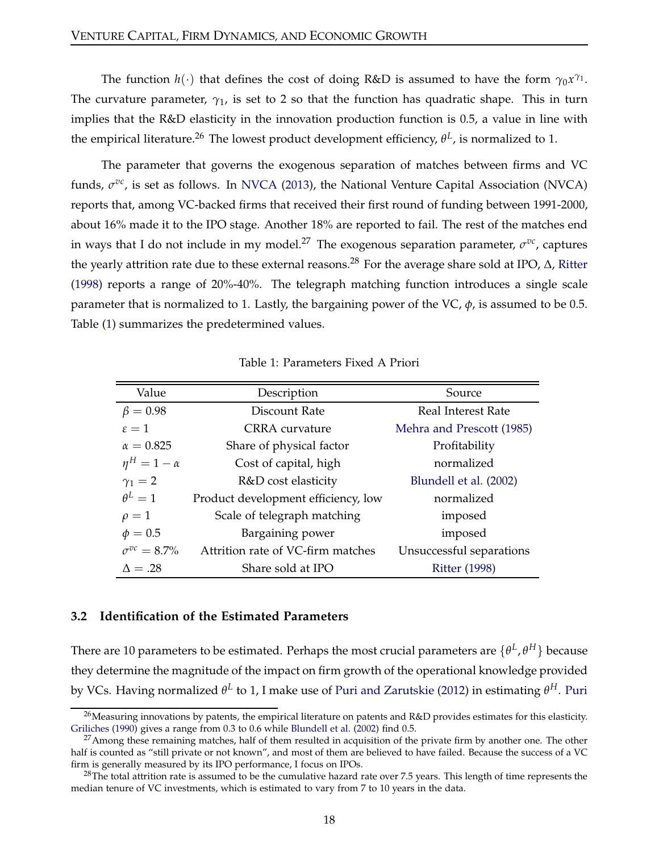The function  $h(\cdot)$  that defines the cost of doing R&D is assumed to have the form  $\gamma_0 x^{\gamma_1}$ . The curvature parameter,  $\gamma_1$ , is set to 2 so that the function has quadratic shape. This in turn implies that the R&D elasticity in the innovation production function is 0.5, a value in line with the empirical literature.<sup>26</sup> The lowest product development efficiency, θ<sup>L</sup>, is normalized to 1.

The parameter that governs the exogenous separation of matches between firms and VC funds,  $\sigma^{vc}$ , is set as follows. In [NVCA](#page-35-0) [\(2013](#page-35-0)), the National Venture Capital Association (NVCA) reports that, among VC-backed firms that received their first round of funding between 1991-2000, about 16% made it to the IPO stage. Another 18% are reported to fail. The rest of the matches end in ways that I do not include in my model.<sup>27</sup> The exogenous separation parameter,  $\sigma^{vc}$ , captures the yearly attrition rate due to these external reasons.<sup>28</sup> For the average share sold at IPO,  $\Delta$ , [Ritter](#page-35-12) [\(1998\)](#page-35-12) reports a range of 20%-40%. The telegraph matching function introduces a single scale parameter that is normalized to 1. Lastly, the bargaining power of the VC, *φ*, is assumed to be 0.5. Table [\(1\)](#page-17-1) summarizes the predetermined values.

<span id="page-17-1"></span>

| Value                 | Description                         | Source                    |  |
|-----------------------|-------------------------------------|---------------------------|--|
| $\beta = 0.98$        | Discount Rate                       | Real Interest Rate        |  |
| $\epsilon = 1$        | CRRA curvature                      | Mehra and Prescott (1985) |  |
| $\alpha = 0.825$      | Share of physical factor            | Profitability             |  |
| $\eta^H = 1 - \alpha$ | Cost of capital, high               | normalized                |  |
| $\gamma_1=2$          | R&D cost elasticity                 | Blundell et al. (2002)    |  |
| $\theta^L=1$          | Product development efficiency, low | normalized                |  |
| $\rho=1$              | Scale of telegraph matching         | imposed                   |  |
| $\phi = 0.5$          | Bargaining power                    | imposed                   |  |
| $\sigma^{vc} = 8.7\%$ | Attrition rate of VC-firm matches   | Unsuccessful separations  |  |
| $\Delta = .28$        | Share sold at IPO                   | <b>Ritter (1998)</b>      |  |

#### Table 1: Parameters Fixed A Priori

#### <span id="page-17-0"></span>**3.2 Identification of the Estimated Parameters**

There are 10 parameters to be estimated. Perhaps the most crucial parameters are  $\{\theta^L, \theta^H\}$  because they determine the magnitude of the impact on firm growth of the operational knowledge provided by VCs. Having normalized *θ L* to 1, I make use of [Puri and Zarutskie](#page-35-3) [\(2012](#page-35-3)) in estimating *θ <sup>H</sup>*. Puri

<sup>&</sup>lt;sup>26</sup>Measuring innovations by patents, the empirical literature on patents and R&D provides estimates for this elasticity. [Griliches](#page-33-12) [\(1990\)](#page-33-12) gives a range from 0.3 to 0.6 while [Blundell et al.](#page-33-11) [\(2002](#page-33-11)) find 0.5.

 $27$ Among these remaining matches, half of them resulted in acquisition of the private firm by another one. The other half is counted as "still private or not known", and most of them are believed to have failed. Because the success of a VC firm is generally measured by its IPO performance, I focus on IPOs.

 $^{28}$ The total attrition rate is assumed to be the cumulative hazard rate over 7.5 years. This length of time represents the median tenure of VC investments, which is estimated to vary from 7 to 10 years in the data.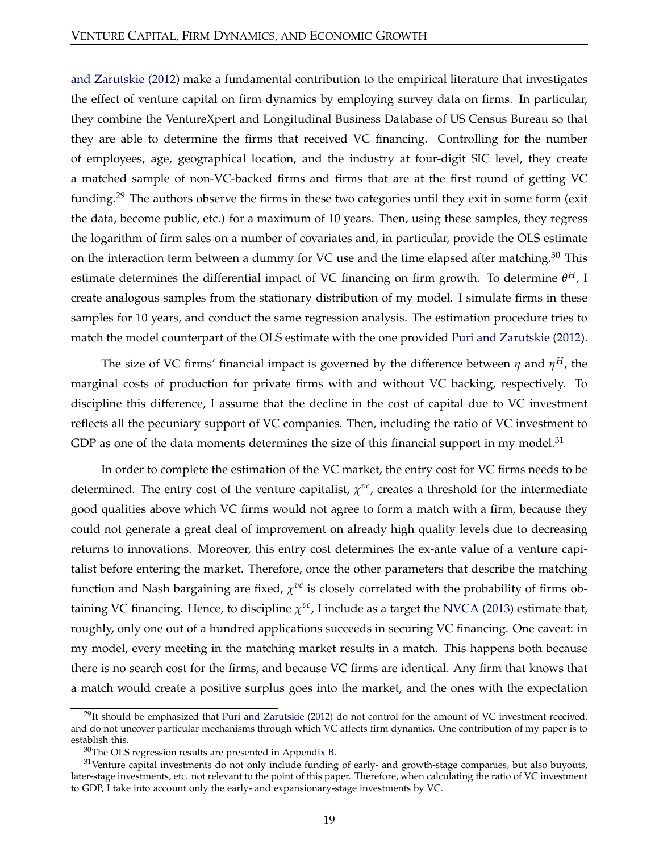and Zarutskie [\(2012](#page-35-3)) make a fundamental contribution to the empirical literature that investigates the effect of venture capital on firm dynamics by employing survey data on firms. In particular, they combine the VentureXpert and Longitudinal Business Database of US Census Bureau so that they are able to determine the firms that received VC financing. Controlling for the number of employees, age, geographical location, and the industry at four-digit SIC level, they create a matched sample of non-VC-backed firms and firms that are at the first round of getting VC funding.<sup>29</sup> The authors observe the firms in these two categories until they exit in some form (exit the data, become public, etc.) for a maximum of 10 years. Then, using these samples, they regress the logarithm of firm sales on a number of covariates and, in particular, provide the OLS estimate on the interaction term between a dummy for VC use and the time elapsed after matching.<sup>30</sup> This estimate determines the differential impact of VC financing on firm growth. To determine *θ <sup>H</sup>*, I create analogous samples from the stationary distribution of my model. I simulate firms in these samples for 10 years, and conduct the same regression analysis. The estimation procedure tries to match the model counterpart of the OLS estimate with the one provided [Puri and Zarutskie](#page-35-3) [\(2012\)](#page-35-3).

The size of VC firms' financial impact is governed by the difference between  $\eta$  and  $\eta^H$ , the marginal costs of production for private firms with and without VC backing, respectively. To discipline this difference, I assume that the decline in the cost of capital due to VC investment reflects all the pecuniary support of VC companies. Then, including the ratio of VC investment to GDP as one of the data moments determines the size of this financial support in my model.<sup>31</sup>

In order to complete the estimation of the VC market, the entry cost for VC firms needs to be determined. The entry cost of the venture capitalist,  $\chi^{vc}$ , creates a threshold for the intermediate good qualities above which VC firms would not agree to form a match with a firm, because they could not generate a great deal of improvement on already high quality levels due to decreasing returns to innovations. Moreover, this entry cost determines the ex-ante value of a venture capitalist before entering the market. Therefore, once the other parameters that describe the matching function and Nash bargaining are fixed,  $\chi^{vc}$  is closely correlated with the probability of firms obtaining VC financing. Hence, to discipline  $\chi^{vc}$ , I include as a target the [NVCA](#page-35-0) [\(2013](#page-35-0)) estimate that, roughly, only one out of a hundred applications succeeds in securing VC financing. One caveat: in my model, every meeting in the matching market results in a match. This happens both because there is no search cost for the firms, and because VC firms are identical. Any firm that knows that a match would create a positive surplus goes into the market, and the ones with the expectation

 $^{29}$ It should be emphasized that [Puri and Zarutskie](#page-35-3) [\(2012\)](#page-35-3) do not control for the amount of VC investment received, and do not uncover particular mechanisms through which VC affects firm dynamics. One contribution of my paper is to establish this.

<sup>30</sup>The OLS regression results are presented in Appendix [B.](#page-38-0)

 $31$ Venture capital investments do not only include funding of early- and growth-stage companies, but also buyouts, later-stage investments, etc. not relevant to the point of this paper. Therefore, when calculating the ratio of VC investment to GDP, I take into account only the early- and expansionary-stage investments by VC.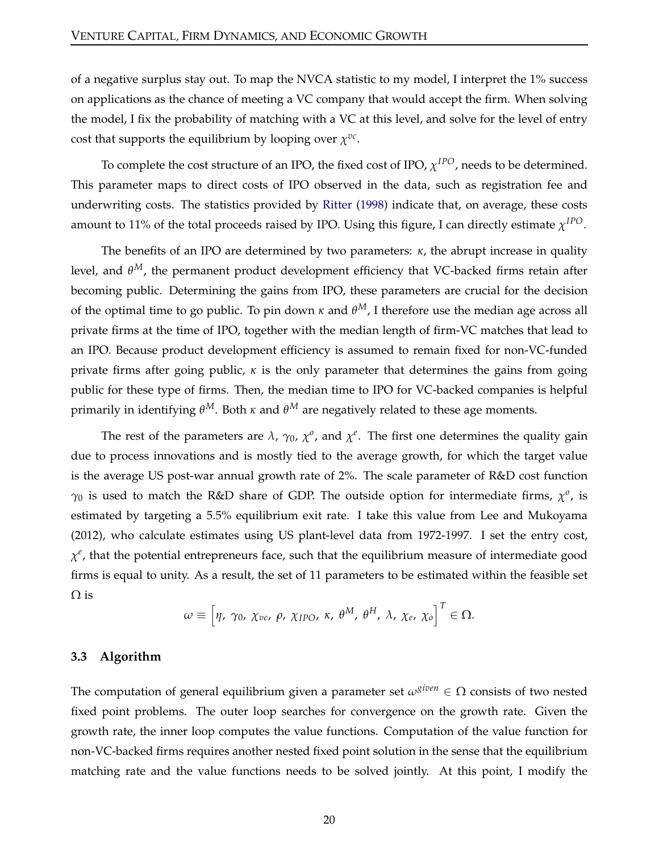of a negative surplus stay out. To map the NVCA statistic to my model, I interpret the 1% success on applications as the chance of meeting a VC company that would accept the firm. When solving the model, I fix the probability of matching with a VC at this level, and solve for the level of entry cost that supports the equilibrium by looping over  $\chi^{vc}$ .

To complete the cost structure of an IPO, the fixed cost of IPO, *χ IPO*, needs to be determined. This parameter maps to direct costs of IPO observed in the data, such as registration fee and underwriting costs. The statistics provided by [Ritter](#page-35-12) [\(1998\)](#page-35-12) indicate that, on average, these costs amount to 11% of the total proceeds raised by IPO. Using this figure, I can directly estimate  $\chi^{IPO}$ .

The benefits of an IPO are determined by two parameters: *κ*, the abrupt increase in quality level, and *θ <sup>M</sup>*, the permanent product development efficiency that VC-backed firms retain after becoming public. Determining the gains from IPO, these parameters are crucial for the decision of the optimal time to go public. To pin down *κ* and *θ <sup>M</sup>*, I therefore use the median age across all private firms at the time of IPO, together with the median length of firm-VC matches that lead to an IPO. Because product development efficiency is assumed to remain fixed for non-VC-funded private firms after going public, *κ* is the only parameter that determines the gains from going public for these type of firms. Then, the median time to IPO for VC-backed companies is helpful primarily in identifying *θ <sup>M</sup>*. Both *κ* and *θ <sup>M</sup>* are negatively related to these age moments.

The rest of the parameters are  $\lambda$ ,  $\gamma_0$ ,  $\chi^o$ , and  $\chi^e$ . The first one determines the quality gain due to process innovations and is mostly tied to the average growth, for which the target value is the average US post-war annual growth rate of 2%. The scale parameter of R&D cost function  $\gamma_0$  is used to match the R&D share of GDP. The outside option for intermediate firms,  $\chi^o$ , is estimated by targeting a 5.5% equilibrium exit rate. I take this value from Lee and Mukoyama (2012), who calculate estimates using US plant-level data from 1972-1997. I set the entry cost, *χ e* , that the potential entrepreneurs face, such that the equilibrium measure of intermediate good firms is equal to unity. As a result, the set of 11 parameters to be estimated within the feasible set  $\Omega$  is

$$
\omega \equiv \left[\eta, \ \gamma_0, \ \chi_{vc}, \ \rho, \ \chi_{IPO}, \ \kappa, \ \theta^M, \ \theta^H, \ \lambda, \ \chi_e, \ \chi_o\right]^T \in \Omega.
$$

#### **3.3 Algorithm**

The computation of general equilibrium given a parameter set  $\omega^{given} \in \Omega$  consists of two nested fixed point problems. The outer loop searches for convergence on the growth rate. Given the growth rate, the inner loop computes the value functions. Computation of the value function for non-VC-backed firms requires another nested fixed point solution in the sense that the equilibrium matching rate and the value functions needs to be solved jointly. At this point, I modify the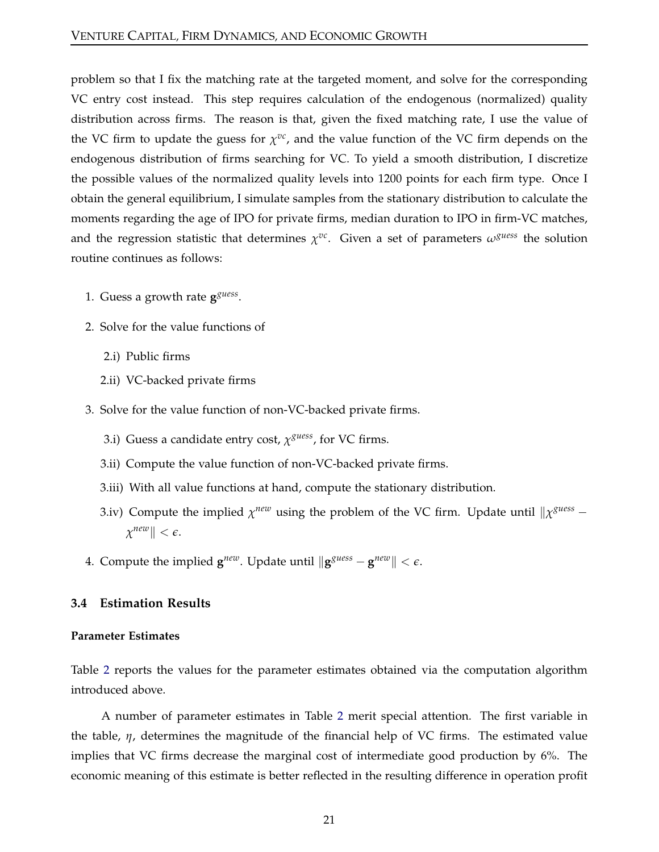problem so that I fix the matching rate at the targeted moment, and solve for the corresponding VC entry cost instead. This step requires calculation of the endogenous (normalized) quality distribution across firms. The reason is that, given the fixed matching rate, I use the value of the VC firm to update the guess for  $\chi^{vc}$ , and the value function of the VC firm depends on the endogenous distribution of firms searching for VC. To yield a smooth distribution, I discretize the possible values of the normalized quality levels into 1200 points for each firm type. Once I obtain the general equilibrium, I simulate samples from the stationary distribution to calculate the moments regarding the age of IPO for private firms, median duration to IPO in firm-VC matches, and the regression statistic that determines  $\chi^{vc}$ . Given a set of parameters  $\omega^{guess}$  the solution routine continues as follows:

- 1. Guess a growth rate  $g^{guess}$ .
- 2. Solve for the value functions of
	- 2.i) Public firms
	- 2.ii) VC-backed private firms
- 3. Solve for the value function of non-VC-backed private firms.
	- 3.i) Guess a candidate entry cost, *χ guess*, for VC firms.
	- 3.ii) Compute the value function of non-VC-backed private firms.
	- 3.iii) With all value functions at hand, compute the stationary distribution.
	- 3.iv) Compute the implied  $\chi^{new}$  using the problem of the VC firm. Update until  $\|\chi^{guess} \chi^{guess}\|$  $\chi^{new}$   $\parallel$   $< \epsilon$ .
- <span id="page-20-0"></span>4. Compute the implied  $\mathbf{g}^{new}$ . Update until  $\|\mathbf{g}^{guess} - \mathbf{g}^{new}\| < \epsilon$ .

## **3.4 Estimation Results**

#### **Parameter Estimates**

Table [2](#page-21-0) reports the values for the parameter estimates obtained via the computation algorithm introduced above.

A number of parameter estimates in Table [2](#page-21-0) merit special attention. The first variable in the table, *η*, determines the magnitude of the financial help of VC firms. The estimated value implies that VC firms decrease the marginal cost of intermediate good production by 6%. The economic meaning of this estimate is better reflected in the resulting difference in operation profit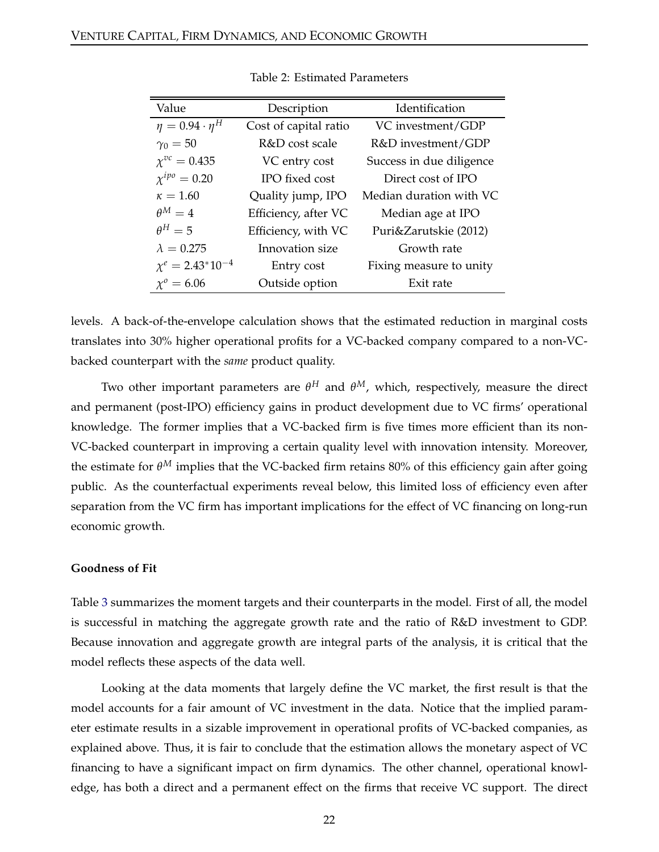<span id="page-21-0"></span>

| Value                      | Description           | Identification           |
|----------------------------|-----------------------|--------------------------|
| $\eta = 0.94 \cdot \eta^H$ | Cost of capital ratio | VC investment/GDP        |
| $\gamma_0 = 50$            | R&D cost scale        | R&D investment/GDP       |
| $\chi^{vc} = 0.435$        | VC entry cost         | Success in due diligence |
| $\chi^{ipo} = 0.20$        | IPO fixed cost        | Direct cost of IPO       |
| $\kappa = 1.60$            | Quality jump, IPO     | Median duration with VC  |
| $\theta^M=4$               | Efficiency, after VC  | Median age at IPO        |
| $\theta^H=5$               | Efficiency, with VC   | Puri&Zarutskie (2012)    |
| $\lambda = 0.275$          | Innovation size       | Growth rate              |
| $\chi^e = 2.43^* 10^{-4}$  | Entry cost            | Fixing measure to unity  |
| $\chi^0 = 6.06$            | Outside option        | Exit rate                |

Table 2: Estimated Parameters

levels. A back-of-the-envelope calculation shows that the estimated reduction in marginal costs translates into 30% higher operational profits for a VC-backed company compared to a non-VCbacked counterpart with the *same* product quality.

Two other important parameters are *θ <sup>H</sup>* and *θ <sup>M</sup>*, which, respectively, measure the direct and permanent (post-IPO) efficiency gains in product development due to VC firms' operational knowledge. The former implies that a VC-backed firm is five times more efficient than its non-VC-backed counterpart in improving a certain quality level with innovation intensity. Moreover, the estimate for *θ <sup>M</sup>* implies that the VC-backed firm retains 80% of this efficiency gain after going public. As the counterfactual experiments reveal below, this limited loss of efficiency even after separation from the VC firm has important implications for the effect of VC financing on long-run economic growth.

#### **Goodness of Fit**

Table [3](#page-22-0) summarizes the moment targets and their counterparts in the model. First of all, the model is successful in matching the aggregate growth rate and the ratio of R&D investment to GDP. Because innovation and aggregate growth are integral parts of the analysis, it is critical that the model reflects these aspects of the data well.

Looking at the data moments that largely define the VC market, the first result is that the model accounts for a fair amount of VC investment in the data. Notice that the implied parameter estimate results in a sizable improvement in operational profits of VC-backed companies, as explained above. Thus, it is fair to conclude that the estimation allows the monetary aspect of VC financing to have a significant impact on firm dynamics. The other channel, operational knowledge, has both a direct and a permanent effect on the firms that receive VC support. The direct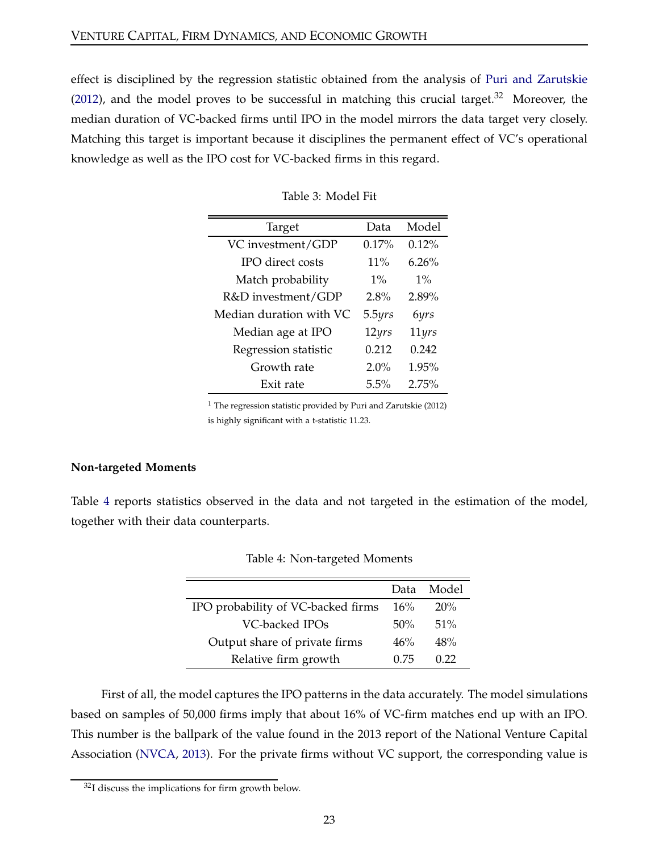<span id="page-22-0"></span>effect is disciplined by the regression statistic obtained from the analysis of [Puri and Zarutskie](#page-35-3) [\(2012\)](#page-35-3), and the model proves to be successful in matching this crucial target. $32$  Moreover, the median duration of VC-backed firms until IPO in the model mirrors the data target very closely. Matching this target is important because it disciplines the permanent effect of VC's operational knowledge as well as the IPO cost for VC-backed firms in this regard.

| Target                  | Data          | Model    |
|-------------------------|---------------|----------|
| VC investment/GDP       | 0.17%         | 0.12%    |
| IPO direct costs        | 11%           | $6.26\%$ |
| Match probability       | $1\%$         | $1\%$    |
| R&D investment/GDP      | 2.8%          | 2.89%    |
| Median duration with VC | 5.5yrs        | 6yrs     |
| Median age at IPO       | $12\gamma rs$ | 11yrs    |
| Regression statistic    | 0.212         | 0.242    |
| Growth rate             | $2.0\%$       | 1.95%    |
| Exit rate               | 5.5%          | 2.75%    |

Table 3: Model Fit

 $1$  The regression statistic provided by Puri and Zarutskie (2012) is highly significant with a t-statistic 11.23.

#### <span id="page-22-2"></span>**Non-targeted Moments**

<span id="page-22-1"></span>Table [4](#page-22-1) reports statistics observed in the data and not targeted in the estimation of the model, together with their data counterparts.

|                                    | Data | Model  |
|------------------------------------|------|--------|
| IPO probability of VC-backed firms | 16%  | 20%    |
| VC-backed IPOs                     | 50%  | $51\%$ |
| Output share of private firms      | 46%  | 48%    |
| Relative firm growth               | 0.75 | 0.22   |

|  | Table 4: Non-targeted Moments |  |
|--|-------------------------------|--|
|--|-------------------------------|--|

First of all, the model captures the IPO patterns in the data accurately. The model simulations based on samples of 50,000 firms imply that about 16% of VC-firm matches end up with an IPO. This number is the ballpark of the value found in the 2013 report of the National Venture Capital Association [\(NVCA](#page-35-0), [2013\)](#page-35-0). For the private firms without VC support, the corresponding value is

<sup>32</sup>I discuss the implications for firm growth below.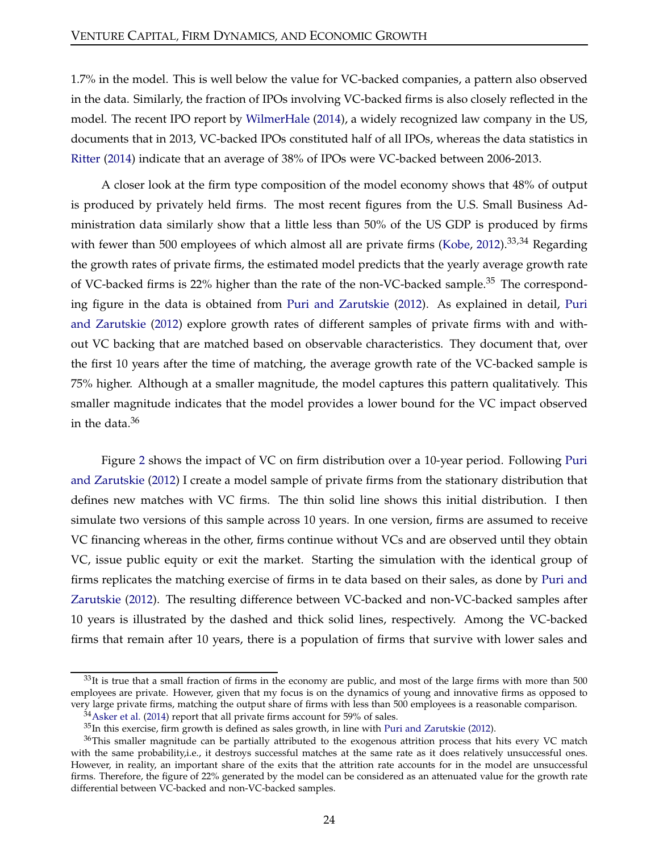1.7% in the model. This is well below the value for VC-backed companies, a pattern also observed in the data. Similarly, the fraction of IPOs involving VC-backed firms is also closely reflected in the model. The recent IPO report by [WilmerHale](#page-36-3) [\(2014\)](#page-36-3), a widely recognized law company in the US, documents that in 2013, VC-backed IPOs constituted half of all IPOs, whereas the data statistics in [Ritter](#page-35-13) [\(2014](#page-35-13)) indicate that an average of 38% of IPOs were VC-backed between 2006-2013.

A closer look at the firm type composition of the model economy shows that 48% of output is produced by privately held firms. The most recent figures from the U.S. Small Business Administration data similarly show that a little less than 50% of the US GDP is produced by firms with fewer than 500 employees of which almost all are private firms [\(Kobe,](#page-34-12) [2012](#page-34-12)).<sup>33,34</sup> Regarding the growth rates of private firms, the estimated model predicts that the yearly average growth rate of VC-backed firms is 22% higher than the rate of the non-VC-backed sample.<sup>35</sup> The corresponding figure in the data is obtained from [Puri and Zarutskie](#page-35-3) [\(2012\). As explained in detail,](#page-35-3) Puri and Zarutskie [\(2012\)](#page-35-3) explore growth rates of different samples of private firms with and without VC backing that are matched based on observable characteristics. They document that, over the first 10 years after the time of matching, the average growth rate of the VC-backed sample is 75% higher. Although at a smaller magnitude, the model captures this pattern qualitatively. This smaller magnitude indicates that the model provides a lower bound for the VC impact observed in the data. $36$ 

Figure [2](#page-24-0) [shows the impact of VC on firm distribution over a 10-year period. Following](#page-35-3) Puri and Zarutskie [\(2012](#page-35-3)) I create a model sample of private firms from the stationary distribution that defines new matches with VC firms. The thin solid line shows this initial distribution. I then simulate two versions of this sample across 10 years. In one version, firms are assumed to receive VC financing whereas in the other, firms continue without VCs and are observed until they obtain VC, issue public equity or exit the market. Starting the simulation with the identical group of firms rep[licates the matching exercise of firms in te data based on their sales, as done by](#page-35-3) Puri and Zarutskie [\(2012](#page-35-3)). The resulting difference between VC-backed and non-VC-backed samples after 10 years is illustrated by the dashed and thick solid lines, respectively. Among the VC-backed firms that remain after 10 years, there is a population of firms that survive with lower sales and

 $33$ It is true that a small fraction of firms in the economy are public, and most of the large firms with more than 500 employees are private. However, given that my focus is on the dynamics of young and innovative firms as opposed to very large private firms, matching the output share of firms with less than 500 employees is a reasonable comparison.

 $34$ [Asker et al.](#page-32-13) [\(2014](#page-32-13)) report that all private firms account for 59% of sales.

 $35$ In this exercise, firm growth is defined as sales growth, in line with [Puri and Zarutskie](#page-35-3) [\(2012\)](#page-35-3).

<sup>&</sup>lt;sup>36</sup>This smaller magnitude can be partially attributed to the exogenous attrition process that hits every VC match with the same probability,i.e., it destroys successful matches at the same rate as it does relatively unsuccessful ones. However, in reality, an important share of the exits that the attrition rate accounts for in the model are unsuccessful firms. Therefore, the figure of 22% generated by the model can be considered as an attenuated value for the growth rate differential between VC-backed and non-VC-backed samples.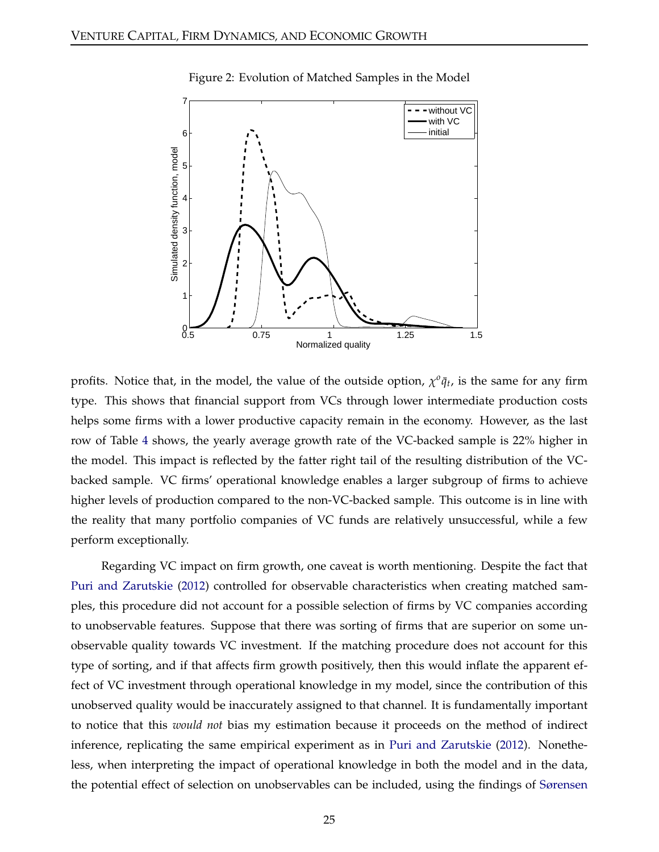<span id="page-24-0"></span>

Figure 2: Evolution of Matched Samples in the Model

profits. Notice that, in the model, the value of the outside option,  $\chi^0 \bar{q}_t$ , is the same for any firm type. This shows that financial support from VCs through lower intermediate production costs helps some firms with a lower productive capacity remain in the economy. However, as the last row of Table [4](#page-22-1) shows, the yearly average growth rate of the VC-backed sample is 22% higher in the model. This impact is reflected by the fatter right tail of the resulting distribution of the VCbacked sample. VC firms' operational knowledge enables a larger subgroup of firms to achieve higher levels of production compared to the non-VC-backed sample. This outcome is in line with the reality that many portfolio companies of VC funds are relatively unsuccessful, while a few perform exceptionally.

Regarding VC impact on firm growth, one caveat is worth mentioning. Despite the fact that [Puri and Zarutskie](#page-35-3) [\(2012\)](#page-35-3) controlled for observable characteristics when creating matched samples, this procedure did not account for a possible selection of firms by VC companies according to unobservable features. Suppose that there was sorting of firms that are superior on some unobservable quality towards VC investment. If the matching procedure does not account for this type of sorting, and if that affects firm growth positively, then this would inflate the apparent effect of VC investment through operational knowledge in my model, since the contribution of this unobserved quality would be inaccurately assigned to that channel. It is fundamentally important to notice that this *would not* bias my estimation because it proceeds on the method of indirect inference, replicating the same empirical experiment as in [Puri and Zarutskie](#page-35-3) [\(2012\)](#page-35-3). Nonetheless, when interpreting the impact of operational knowledge in both the model and in the data, the potential effect of selection on unobservables can be included, using the findings of [Sørensen](#page-36-1)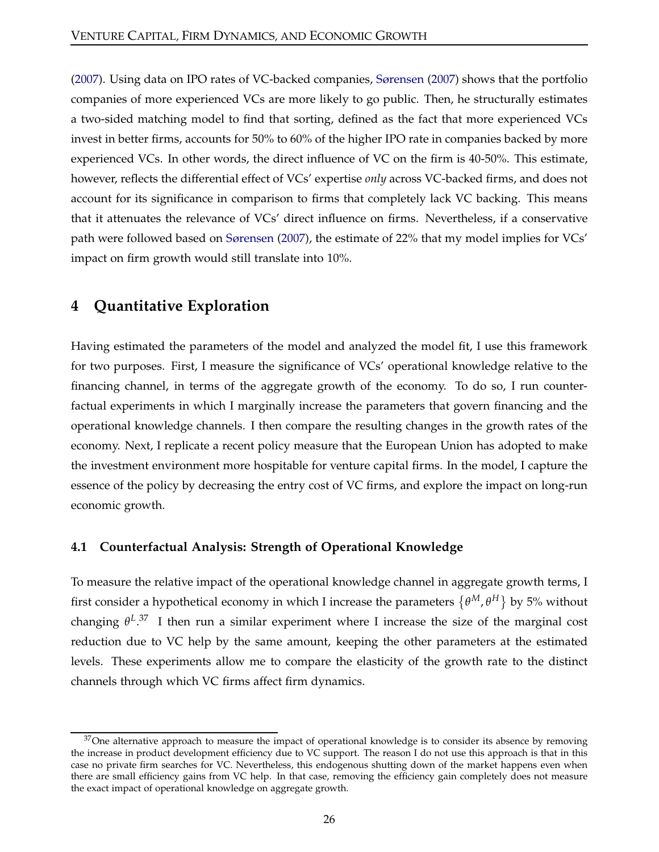[\(2007\)](#page-36-1). Using data on IPO rates of VC-backed companies, [Sørensen](#page-36-1) [\(2007](#page-36-1)) shows that the portfolio companies of more experienced VCs are more likely to go public. Then, he structurally estimates a two-sided matching model to find that sorting, defined as the fact that more experienced VCs invest in better firms, accounts for 50% to 60% of the higher IPO rate in companies backed by more experienced VCs. In other words, the direct influence of VC on the firm is 40-50%. This estimate, however, reflects the differential effect of VCs' expertise *only* across VC-backed firms, and does not account for its significance in comparison to firms that completely lack VC backing. This means that it attenuates the relevance of VCs' direct influence on firms. Nevertheless, if a conservative path were followed based on [Sørensen](#page-36-1) [\(2007\)](#page-36-1), the estimate of 22% that my model implies for VCs' impact on firm growth would still translate into 10%.

# <span id="page-25-0"></span>**4 Quantitative Exploration**

Having estimated the parameters of the model and analyzed the model fit, I use this framework for two purposes. First, I measure the significance of VCs' operational knowledge relative to the financing channel, in terms of the aggregate growth of the economy. To do so, I run counterfactual experiments in which I marginally increase the parameters that govern financing and the operational knowledge channels. I then compare the resulting changes in the growth rates of the economy. Next, I replicate a recent policy measure that the European Union has adopted to make the investment environment more hospitable for venture capital firms. In the model, I capture the essence of the policy by decreasing the entry cost of VC firms, and explore the impact on long-run economic growth.

## **4.1 Counterfactual Analysis: Strength of Operational Knowledge**

To measure the relative impact of the operational knowledge channel in aggregate growth terms, I first consider a hypothetical economy in which I increase the parameters  $\{\theta^M, \theta^H\}$  by 5% without changing  $θ<sup>L,37</sup>$  I then run a similar experiment where I increase the size of the marginal cost reduction due to VC help by the same amount, keeping the other parameters at the estimated levels. These experiments allow me to compare the elasticity of the growth rate to the distinct channels through which VC firms affect firm dynamics.

 $37$  One alternative approach to measure the impact of operational knowledge is to consider its absence by removing the increase in product development efficiency due to VC support. The reason I do not use this approach is that in this case no private firm searches for VC. Nevertheless, this endogenous shutting down of the market happens even when there are small efficiency gains from VC help. In that case, removing the efficiency gain completely does not measure the exact impact of operational knowledge on aggregate growth.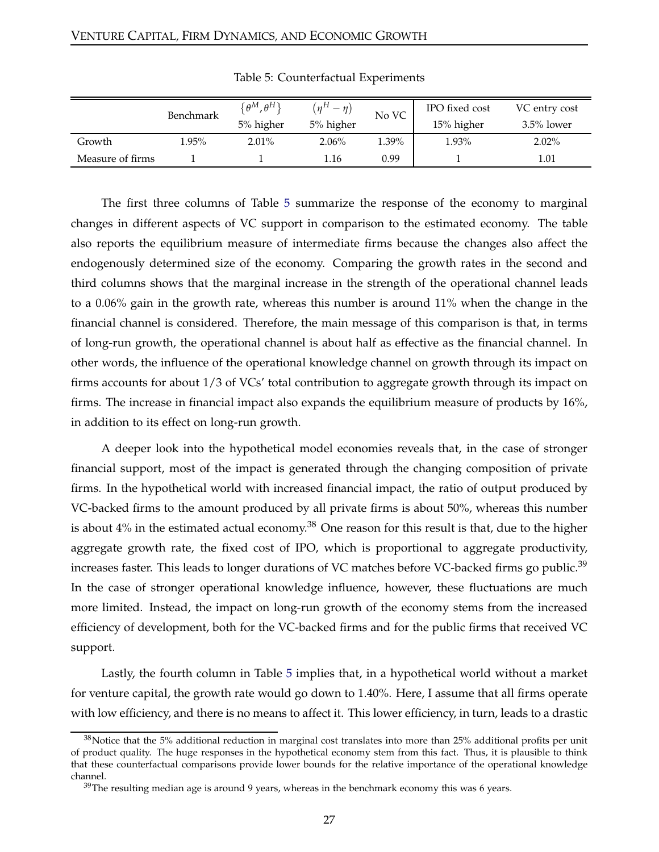<span id="page-26-0"></span>

|                  | Benchmark | $\{\theta^{M},\theta^{H}\}$ | $(\eta^H - \eta)$ | No VC    | IPO fixed cost | VC entry cost |
|------------------|-----------|-----------------------------|-------------------|----------|----------------|---------------|
|                  |           | 5% higher                   | 5% higher         |          | 15% higher     | $3.5\%$ lower |
| Growth           | 1.95%     | $2.01\%$                    | 2.06%             | $1.39\%$ | 1.93%          | $2.02\%$      |
| Measure of firms |           |                             | 1.16              | 0.99     |                | 1.01          |

Table 5: Counterfactual Experiments

The first three columns of Table [5](#page-26-0) summarize the response of the economy to marginal changes in different aspects of VC support in comparison to the estimated economy. The table also reports the equilibrium measure of intermediate firms because the changes also affect the endogenously determined size of the economy. Comparing the growth rates in the second and third columns shows that the marginal increase in the strength of the operational channel leads to a 0.06% gain in the growth rate, whereas this number is around 11% when the change in the financial channel is considered. Therefore, the main message of this comparison is that, in terms of long-run growth, the operational channel is about half as effective as the financial channel. In other words, the influence of the operational knowledge channel on growth through its impact on firms accounts for about 1/3 of VCs' total contribution to aggregate growth through its impact on firms. The increase in financial impact also expands the equilibrium measure of products by 16%, in addition to its effect on long-run growth.

A deeper look into the hypothetical model economies reveals that, in the case of stronger financial support, most of the impact is generated through the changing composition of private firms. In the hypothetical world with increased financial impact, the ratio of output produced by VC-backed firms to the amount produced by all private firms is about 50%, whereas this number is about  $4\%$  in the estimated actual economy.<sup>38</sup> One reason for this result is that, due to the higher aggregate growth rate, the fixed cost of IPO, which is proportional to aggregate productivity, increases faster. This leads to longer durations of VC matches before VC-backed firms go public.<sup>39</sup> In the case of stronger operational knowledge influence, however, these fluctuations are much more limited. Instead, the impact on long-run growth of the economy stems from the increased efficiency of development, both for the VC-backed firms and for the public firms that received VC support.

Lastly, the fourth column in Table [5](#page-26-0) implies that, in a hypothetical world without a market for venture capital, the growth rate would go down to 1.40%. Here, I assume that all firms operate with low efficiency, and there is no means to affect it. This lower efficiency, in turn, leads to a drastic

<sup>38</sup>Notice that the 5% additional reduction in marginal cost translates into more than 25% additional profits per unit of product quality. The huge responses in the hypothetical economy stem from this fact. Thus, it is plausible to think that these counterfactual comparisons provide lower bounds for the relative importance of the operational knowledge channel.

 $39$ The resulting median age is around 9 years, whereas in the benchmark economy this was 6 years.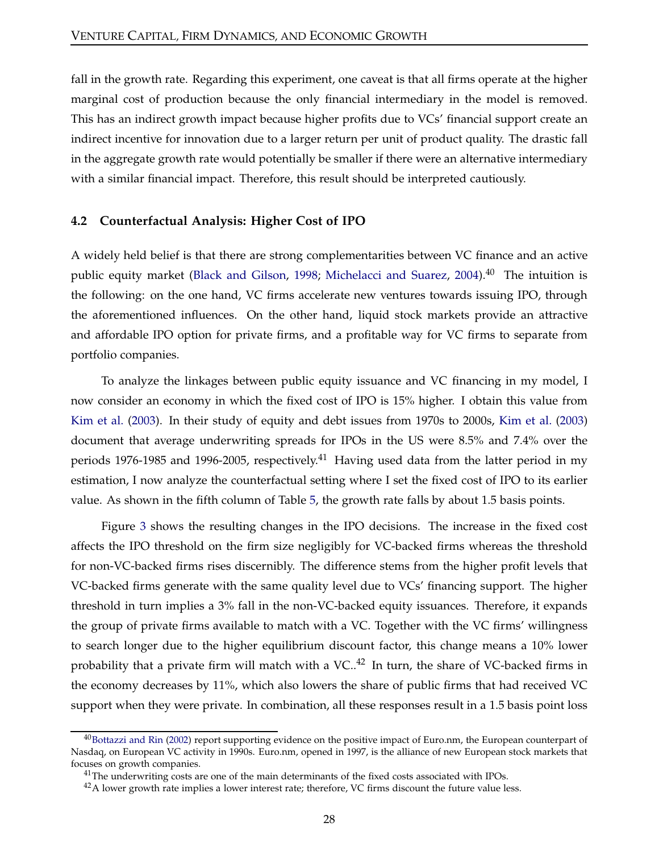fall in the growth rate. Regarding this experiment, one caveat is that all firms operate at the higher marginal cost of production because the only financial intermediary in the model is removed. This has an indirect growth impact because higher profits due to VCs' financial support create an indirect incentive for innovation due to a larger return per unit of product quality. The drastic fall in the aggregate growth rate would potentially be smaller if there were an alternative intermediary with a similar financial impact. Therefore, this result should be interpreted cautiously.

#### **4.2 Counterfactual Analysis: Higher Cost of IPO**

A widely held belief is that there are strong complementarities between VC finance and an active public equity market [\(Black and Gilson,](#page-33-7) [1998](#page-33-7); [Michelacci and Suarez](#page-35-14), [2004\)](#page-35-14).<sup>40</sup> The intuition is the following: on the one hand, VC firms accelerate new ventures towards issuing IPO, through the aforementioned influences. On the other hand, liquid stock markets provide an attractive and affordable IPO option for private firms, and a profitable way for VC firms to separate from portfolio companies.

To analyze the linkages between public equity issuance and VC financing in my model, I now consider an economy in which the fixed cost of IPO is 15% higher. I obtain this value from [Kim et al.](#page-34-13) [\(2003\)](#page-34-13). In their study of equity and debt issues from 1970s to 2000s, [Kim et al.](#page-34-13) [\(2003\)](#page-34-13) document that average underwriting spreads for IPOs in the US were 8.5% and 7.4% over the periods 1976-1985 and 1996-2005, respectively.<sup>41</sup> Having used data from the latter period in my estimation, I now analyze the counterfactual setting where I set the fixed cost of IPO to its earlier value. As shown in the fifth column of Table [5,](#page-26-0) the growth rate falls by about 1.5 basis points.

Figure [3](#page-28-0) shows the resulting changes in the IPO decisions. The increase in the fixed cost affects the IPO threshold on the firm size negligibly for VC-backed firms whereas the threshold for non-VC-backed firms rises discernibly. The difference stems from the higher profit levels that VC-backed firms generate with the same quality level due to VCs' financing support. The higher threshold in turn implies a 3% fall in the non-VC-backed equity issuances. Therefore, it expands the group of private firms available to match with a VC. Together with the VC firms' willingness to search longer due to the higher equilibrium discount factor, this change means a 10% lower probability that a private firm will match with a VC..<sup>42</sup> In turn, the share of VC-backed firms in the economy decreases by 11%, which also lowers the share of public firms that had received VC support when they were private. In combination, all these responses result in a 1.5 basis point loss

 $^{40}$ [Bottazzi and Rin](#page-33-8) [\(2002\)](#page-33-8) report supporting evidence on the positive impact of Euro.nm, the European counterpart of Nasdaq, on European VC activity in 1990s. Euro.nm, opened in 1997, is the alliance of new European stock markets that focuses on growth companies.

 $<sup>41</sup>$ The underwriting costs are one of the main determinants of the fixed costs associated with IPOs.</sup>

 $^{42}$ A lower growth rate implies a lower interest rate; therefore, VC firms discount the future value less.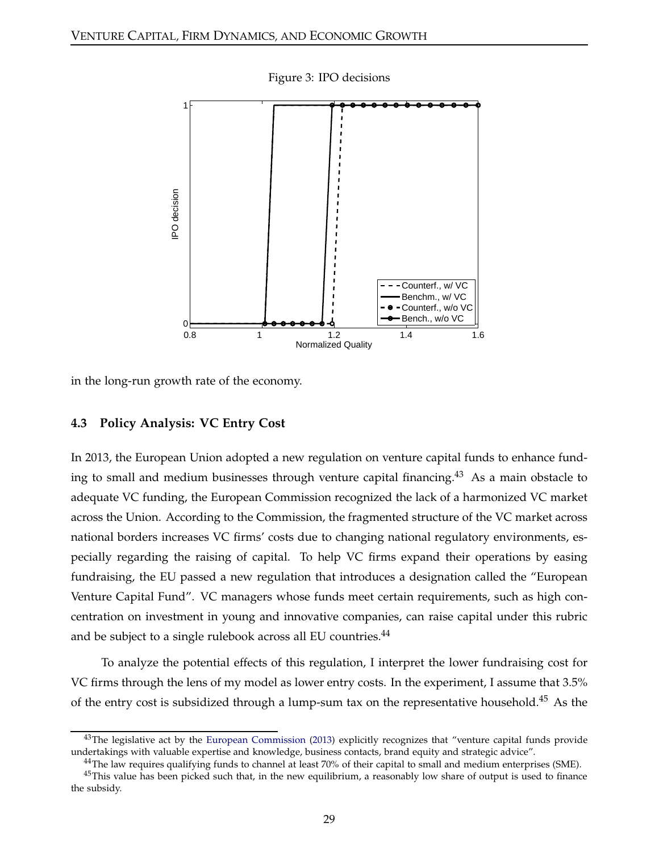<span id="page-28-0"></span>

Figure 3: IPO decisions

in the long-run growth rate of the economy.

#### **4.3 Policy Analysis: VC Entry Cost**

In 2013, the European Union adopted a new regulation on venture capital funds to enhance funding to small and medium businesses through venture capital financing.<sup>43</sup> As a main obstacle to adequate VC funding, the European Commission recognized the lack of a harmonized VC market across the Union. According to the Commission, the fragmented structure of the VC market across national borders increases VC firms' costs due to changing national regulatory environments, especially regarding the raising of capital. To help VC firms expand their operations by easing fundraising, the EU passed a new regulation that introduces a designation called the "European Venture Capital Fund". VC managers whose funds meet certain requirements, such as high concentration on investment in young and innovative companies, can raise capital under this rubric and be subject to a single rulebook across all EU countries.<sup>44</sup>

To analyze the potential effects of this regulation, I interpret the lower fundraising cost for VC firms through the lens of my model as lower entry costs. In the experiment, I assume that 3.5% of the entry cost is subsidized through a lump-sum tax on the representative household.<sup>45</sup> As the

 $43$ The legislative act by the [European Commission](#page-33-13) [\(2013](#page-33-13)) explicitly recognizes that "venture capital funds provide undertakings with valuable expertise and knowledge, business contacts, brand equity and strategic advice".

<sup>&</sup>lt;sup>44</sup>The law requires qualifying funds to channel at least 70% of their capital to small and medium enterprises (SME).

 $45$ This value has been picked such that, in the new equilibrium, a reasonably low share of output is used to finance the subsidy.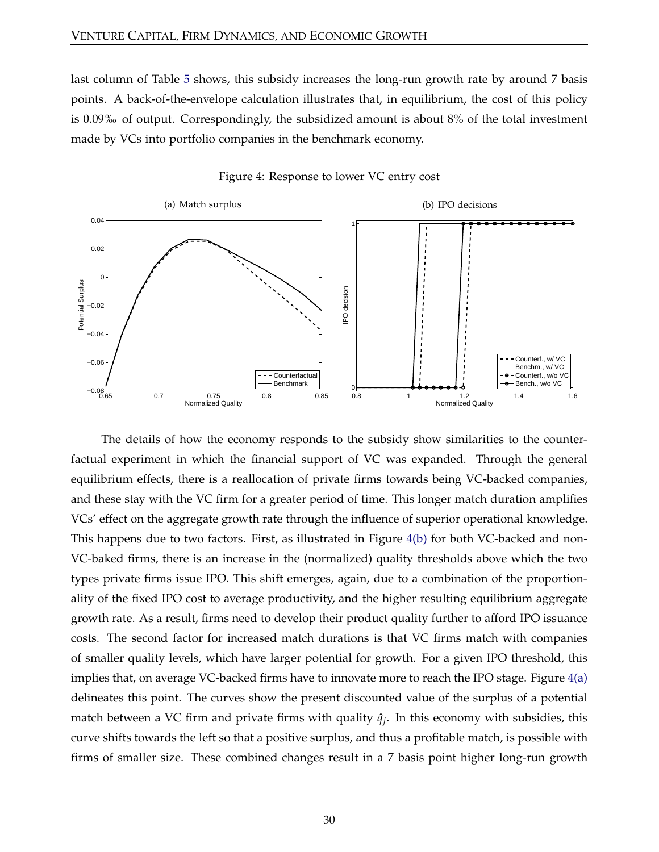last column of Table [5](#page-26-0) shows, this subsidy increases the long-run growth rate by around 7 basis points. A back-of-the-envelope calculation illustrates that, in equilibrium, the cost of this policy is 0.09‰ of output. Correspondingly, the subsidized amount is about 8% of the total investment made by VCs into portfolio companies in the benchmark economy.

<span id="page-29-1"></span>

<span id="page-29-0"></span>Figure 4: Response to lower VC entry cost

The details of how the economy responds to the subsidy show similarities to the counterfactual experiment in which the financial support of VC was expanded. Through the general equilibrium effects, there is a reallocation of private firms towards being VC-backed companies, and these stay with the VC firm for a greater period of time. This longer match duration amplifies VCs' effect on the aggregate growth rate through the influence of superior operational knowledge. This happens due to two factors. First, as illustrated in Figure [4\(b\)](#page-29-0) for both VC-backed and non-VC-baked firms, there is an increase in the (normalized) quality thresholds above which the two types private firms issue IPO. This shift emerges, again, due to a combination of the proportionality of the fixed IPO cost to average productivity, and the higher resulting equilibrium aggregate growth rate. As a result, firms need to develop their product quality further to afford IPO issuance costs. The second factor for increased match durations is that VC firms match with companies of smaller quality levels, which have larger potential for growth. For a given IPO threshold, this implies that, on average VC-backed firms have to innovate more to reach the IPO stage. Figure [4\(a\)](#page-29-1) delineates this point. The curves show the present discounted value of the surplus of a potential match between a VC firm and private firms with quality  $\hat{q}_j$ . In this economy with subsidies, this curve shifts towards the left so that a positive surplus, and thus a profitable match, is possible with firms of smaller size. These combined changes result in a 7 basis point higher long-run growth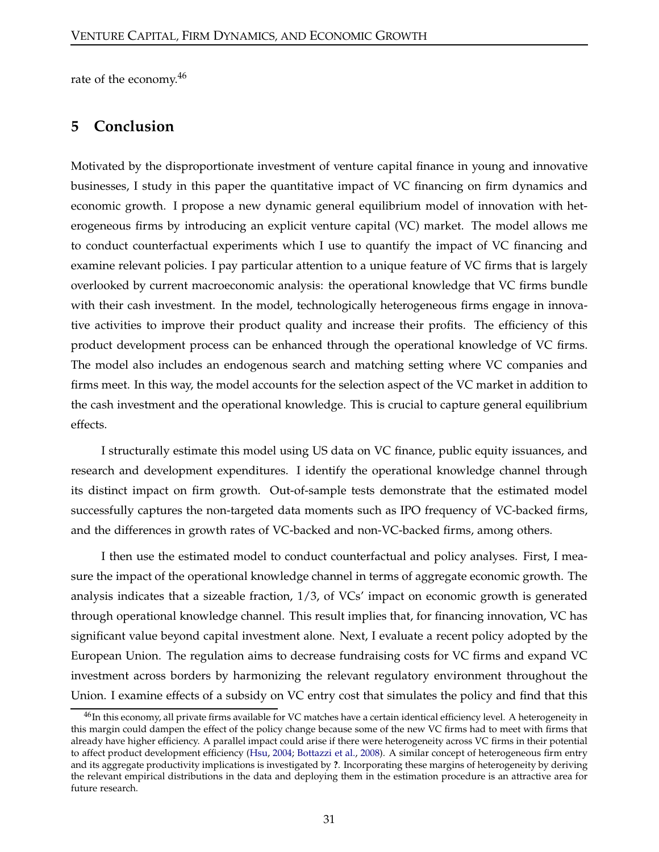<span id="page-30-0"></span>rate of the economy.<sup>46</sup>

# **5 Conclusion**

Motivated by the disproportionate investment of venture capital finance in young and innovative businesses, I study in this paper the quantitative impact of VC financing on firm dynamics and economic growth. I propose a new dynamic general equilibrium model of innovation with heterogeneous firms by introducing an explicit venture capital (VC) market. The model allows me to conduct counterfactual experiments which I use to quantify the impact of VC financing and examine relevant policies. I pay particular attention to a unique feature of VC firms that is largely overlooked by current macroeconomic analysis: the operational knowledge that VC firms bundle with their cash investment. In the model, technologically heterogeneous firms engage in innovative activities to improve their product quality and increase their profits. The efficiency of this product development process can be enhanced through the operational knowledge of VC firms. The model also includes an endogenous search and matching setting where VC companies and firms meet. In this way, the model accounts for the selection aspect of the VC market in addition to the cash investment and the operational knowledge. This is crucial to capture general equilibrium effects.

I structurally estimate this model using US data on VC finance, public equity issuances, and research and development expenditures. I identify the operational knowledge channel through its distinct impact on firm growth. Out-of-sample tests demonstrate that the estimated model successfully captures the non-targeted data moments such as IPO frequency of VC-backed firms, and the differences in growth rates of VC-backed and non-VC-backed firms, among others.

I then use the estimated model to conduct counterfactual and policy analyses. First, I measure the impact of the operational knowledge channel in terms of aggregate economic growth. The analysis indicates that a sizeable fraction, 1/3, of VCs' impact on economic growth is generated through operational knowledge channel. This result implies that, for financing innovation, VC has significant value beyond capital investment alone. Next, I evaluate a recent policy adopted by the European Union. The regulation aims to decrease fundraising costs for VC firms and expand VC investment across borders by harmonizing the relevant regulatory environment throughout the Union. I examine effects of a subsidy on VC entry cost that simulates the policy and find that this

<sup>&</sup>lt;sup>46</sup>In this economy, all private firms available for VC matches have a certain identical efficiency level. A heterogeneity in this margin could dampen the effect of the policy change because some of the new VC firms had to meet with firms that already have higher efficiency. A parallel impact could arise if there were heterogeneity across VC firms in their potential to affect product development efficiency [\(Hsu,](#page-34-14) [2004](#page-34-14); [Bottazzi et al.](#page-33-14), [2008\)](#page-33-14). A similar concept of heterogeneous firm entry and its aggregate productivity implications is investigated by **?**. Incorporating these margins of heterogeneity by deriving the relevant empirical distributions in the data and deploying them in the estimation procedure is an attractive area for future research.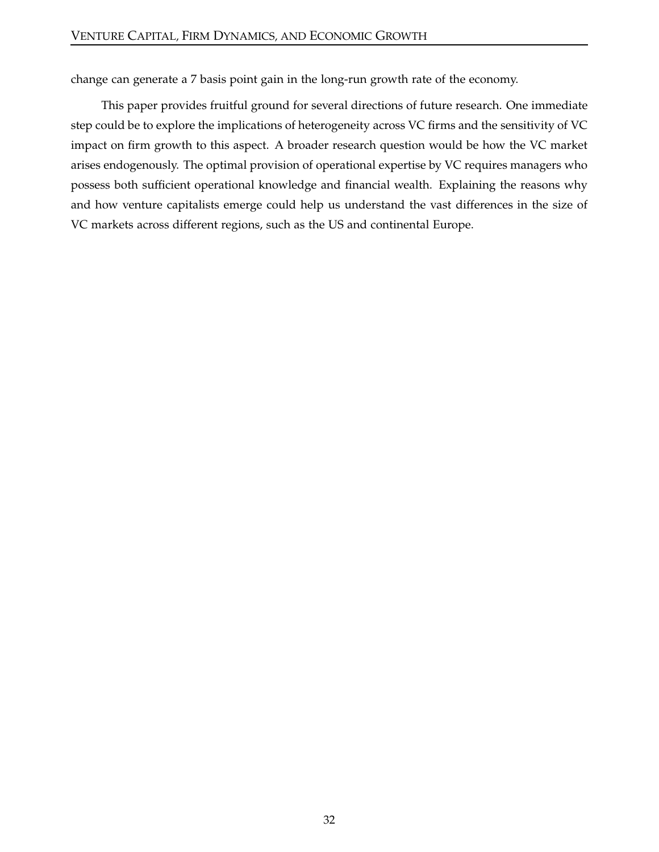change can generate a 7 basis point gain in the long-run growth rate of the economy.

This paper provides fruitful ground for several directions of future research. One immediate step could be to explore the implications of heterogeneity across VC firms and the sensitivity of VC impact on firm growth to this aspect. A broader research question would be how the VC market arises endogenously. The optimal provision of operational expertise by VC requires managers who possess both sufficient operational knowledge and financial wealth. Explaining the reasons why and how venture capitalists emerge could help us understand the vast differences in the size of VC markets across different regions, such as the US and continental Europe.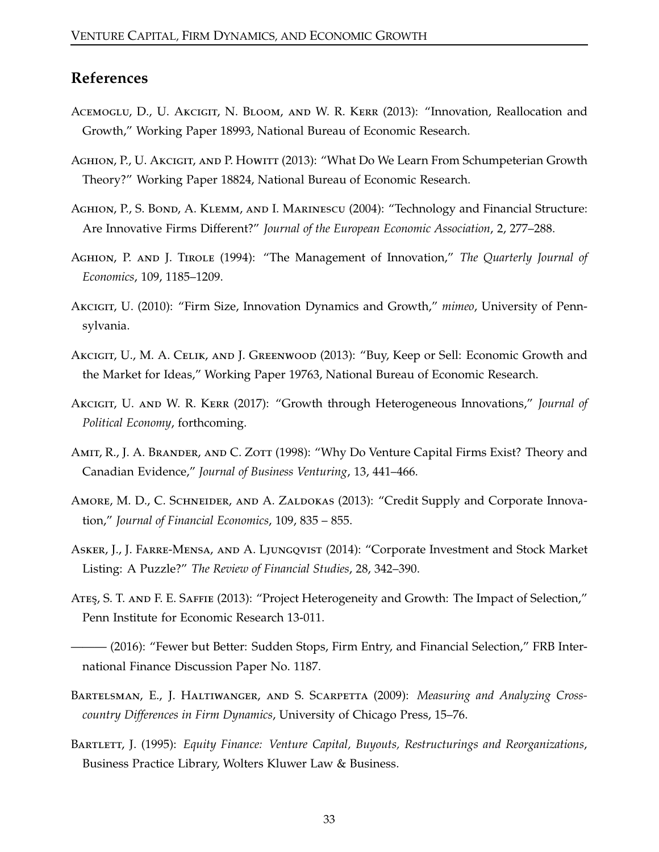## **References**

- <span id="page-32-1"></span>ACEMOGLU, D., U. AKCIGIT, N. BLOOM, AND W. R. KERR (2013): "Innovation, Reallocation and Growth," Working Paper 18993, National Bureau of Economic Research.
- <span id="page-32-7"></span>Aghion, P., U. Akcigit, and P. Howitt (2013): "What Do We Learn From Schumpeterian Growth Theory?" Working Paper 18824, National Bureau of Economic Research.
- <span id="page-32-5"></span>AGHION, P., S. BOND, A. KLEMM, AND I. MARINESCU (2004): "Technology and Financial Structure: Are Innovative Firms Different?" *Journal of the European Economic Association*, 2, 277–288.
- <span id="page-32-4"></span>Aghion, P. and J. Tirole (1994): "The Management of Innovation," *The Quarterly Journal of Economics*, 109, 1185–1209.
- <span id="page-32-2"></span>Akcigit, U. (2010): "Firm Size, Innovation Dynamics and Growth," *mimeo*, University of Pennsylvania.
- <span id="page-32-12"></span>Akcigit, U., M. A. Celik, and J. Greenwood (2013): "Buy, Keep or Sell: Economic Growth and the Market for Ideas," Working Paper 19763, National Bureau of Economic Research.
- <span id="page-32-3"></span>Akcigit, U. and W. R. Kerr (2017): "Growth through Heterogeneous Innovations," *Journal of Political Economy*, forthcoming.
- <span id="page-32-8"></span>AMIT, R., J. A. BRANDER, AND C. ZOTT (1998): "Why Do Venture Capital Firms Exist? Theory and Canadian Evidence," *Journal of Business Venturing*, 13, 441–466.
- <span id="page-32-6"></span>AMORE, M. D., C. SCHNEIDER, AND A. ZALDOKAS (2013): "Credit Supply and Corporate Innovation," *Journal of Financial Economics*, 109, 835 – 855.
- <span id="page-32-13"></span>Asker, J., J. Farre-Mensa, and A. Ljungqvist (2014): "Corporate Investment and Stock Market Listing: A Puzzle?" *The Review of Financial Studies*, 28, 342–390.
- <span id="page-32-10"></span>ATEŞ, S. T. AND F. E. SAFFIE (2013): "Project Heterogeneity and Growth: The Impact of Selection," Penn Institute for Economic Research 13-011.
- <span id="page-32-9"></span>— (2016): "Fewer but Better: Sudden Stops, Firm Entry, and Financial Selection," FRB International Finance Discussion Paper No. 1187.
- <span id="page-32-11"></span>Bartelsman, E., J. Haltiwanger, and S. Scarpetta (2009): *Measuring and Analyzing Crosscountry Differences in Firm Dynamics*, University of Chicago Press, 15–76.
- <span id="page-32-0"></span>Bartlett, J. (1995): *Equity Finance: Venture Capital, Buyouts, Restructurings and Reorganizations*, Business Practice Library, Wolters Kluwer Law & Business.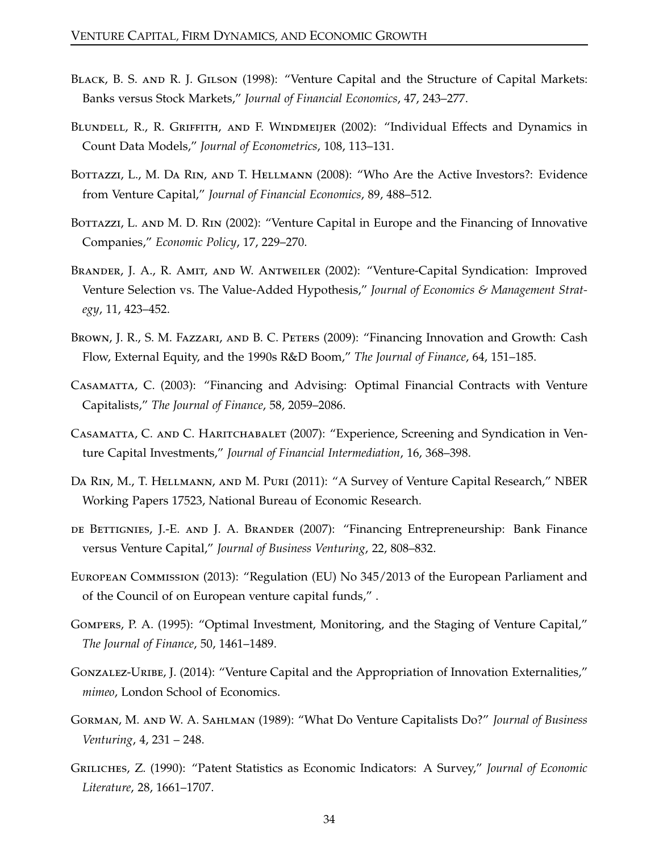- <span id="page-33-7"></span>BLACK, B. S. AND R. J. GILSON (1998): "Venture Capital and the Structure of Capital Markets: Banks versus Stock Markets," *Journal of Financial Economics*, 47, 243–277.
- <span id="page-33-11"></span>Blundell, R., R. Griffith, and F. Windmeijer (2002): "Individual Effects and Dynamics in Count Data Models," *Journal of Econometrics*, 108, 113–131.
- <span id="page-33-14"></span>BOTTAZZI, L., M. DA RIN, AND T. HELLMANN (2008): "Who Are the Active Investors?: Evidence from Venture Capital," *Journal of Financial Economics*, 89, 488–512.
- <span id="page-33-8"></span>BOTTAZZI, L. AND M. D. RIN (2002): "Venture Capital in Europe and the Financing of Innovative Companies," *Economic Policy*, 17, 229–270.
- <span id="page-33-10"></span>Brander, J. A., R. Amit, and W. Antweiler (2002): "Venture-Capital Syndication: Improved Venture Selection vs. The Value-Added Hypothesis," *Journal of Economics & Management Strategy*, 11, 423–452.
- <span id="page-33-5"></span>BROWN, J. R., S. M. FAZZARI, AND B. C. PETERS (2009): "Financing Innovation and Growth: Cash Flow, External Equity, and the 1990s R&D Boom," *The Journal of Finance*, 64, 151–185.
- <span id="page-33-1"></span>Casamatta, C. (2003): "Financing and Advising: Optimal Financial Contracts with Venture Capitalists," *The Journal of Finance*, 58, 2059–2086.
- <span id="page-33-9"></span>Casamatta, C. and C. Haritchabalet (2007): "Experience, Screening and Syndication in Venture Capital Investments," *Journal of Financial Intermediation*, 16, 368–398.
- <span id="page-33-3"></span>Da Rin, M., T. Hellmann, and M. Puri (2011): "A Survey of Venture Capital Research," NBER Working Papers 17523, National Bureau of Economic Research.
- <span id="page-33-6"></span>de Bettignies, J.-E. and J. A. Brander (2007): "Financing Entrepreneurship: Bank Finance versus Venture Capital," *Journal of Business Venturing*, 22, 808–832.
- <span id="page-33-13"></span>European Commission (2013): "Regulation (EU) No 345/2013 of the European Parliament and of the Council of on European venture capital funds," .
- <span id="page-33-0"></span>Gompers, P. A. (1995): "Optimal Investment, Monitoring, and the Staging of Venture Capital," *The Journal of Finance*, 50, 1461–1489.
- <span id="page-33-4"></span>GONZALEZ-URIBE, J. (2014): "Venture Capital and the Appropriation of Innovation Externalities," *mimeo*, London School of Economics.
- <span id="page-33-2"></span>Gorman, M. and W. A. Sahlman (1989): "What Do Venture Capitalists Do?" *Journal of Business Venturing*, 4, 231 – 248.
- <span id="page-33-12"></span>Griliches, Z. (1990): "Patent Statistics as Economic Indicators: A Survey," *Journal of Economic Literature*, 28, 1661–1707.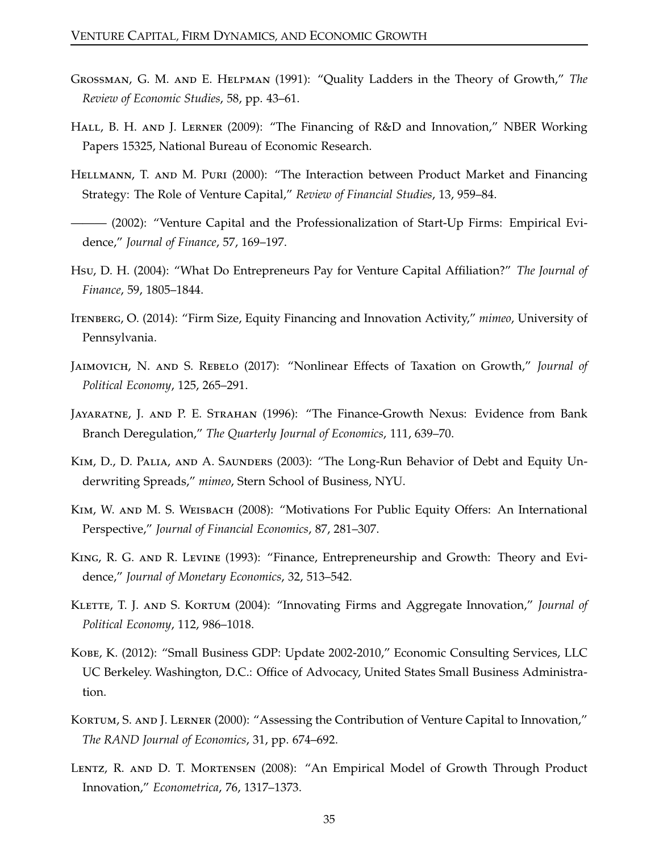- <span id="page-34-1"></span>Grossman, G. M. and E. Helpman (1991): "Quality Ladders in the Theory of Growth," *The Review of Economic Studies*, 58, pp. 43–61.
- <span id="page-34-6"></span>HALL, B. H. AND J. LERNER (2009): "The Financing of R&D and Innovation," NBER Working Papers 15325, National Bureau of Economic Research.
- <span id="page-34-0"></span>Hellmann, T. and M. Puri (2000): "The Interaction between Product Market and Financing Strategy: The Role of Venture Capital," *Review of Financial Studies*, 13, 959–84.
- <span id="page-34-7"></span>——— (2002): "Venture Capital and the Professionalization of Start-Up Firms: Empirical Evidence," *Journal of Finance*, 57, 169–197.
- <span id="page-34-14"></span>Hsu, D. H. (2004): "What Do Entrepreneurs Pay for Venture Capital Affiliation?" *The Journal of Finance*, 59, 1805–1844.
- <span id="page-34-5"></span>Itenberg, O. (2014): "Firm Size, Equity Financing and Innovation Activity," *mimeo*, University of Pennsylvania.
- <span id="page-34-10"></span>Jaimovich, N. and S. Rebelo (2017): "Nonlinear Effects of Taxation on Growth," *Journal of Political Economy*, 125, 265–291.
- <span id="page-34-8"></span>Jayaratne, J. and P. E. Strahan (1996): "The Finance-Growth Nexus: Evidence from Bank Branch Deregulation," *The Quarterly Journal of Economics*, 111, 639–70.
- <span id="page-34-13"></span>Kim, D., D. Palia, and A. Saunders (2003): "The Long-Run Behavior of Debt and Equity Underwriting Spreads," *mimeo*, Stern School of Business, NYU.
- <span id="page-34-11"></span>Kim, W. and M. S. Weisbach (2008): "Motivations For Public Equity Offers: An International Perspective," *Journal of Financial Economics*, 87, 281–307.
- <span id="page-34-9"></span>King, R. G. and R. Levine (1993): "Finance, Entrepreneurship and Growth: Theory and Evidence," *Journal of Monetary Economics*, 32, 513–542.
- <span id="page-34-2"></span>KLETTE, T. J. AND S. KORTUM (2004): "Innovating Firms and Aggregate Innovation," *Journal of Political Economy*, 112, 986–1018.
- <span id="page-34-12"></span>Kobe, K. (2012): "Small Business GDP: Update 2002-2010," Economic Consulting Services, LLC UC Berkeley. Washington, D.C.: Office of Advocacy, United States Small Business Administration.
- <span id="page-34-4"></span>KORTUM, S. AND J. LERNER (2000): "Assessing the Contribution of Venture Capital to Innovation," *The RAND Journal of Economics*, 31, pp. 674–692.
- <span id="page-34-3"></span>Lentz, R. and D. T. Mortensen (2008): "An Empirical Model of Growth Through Product Innovation," *Econometrica*, 76, 1317–1373.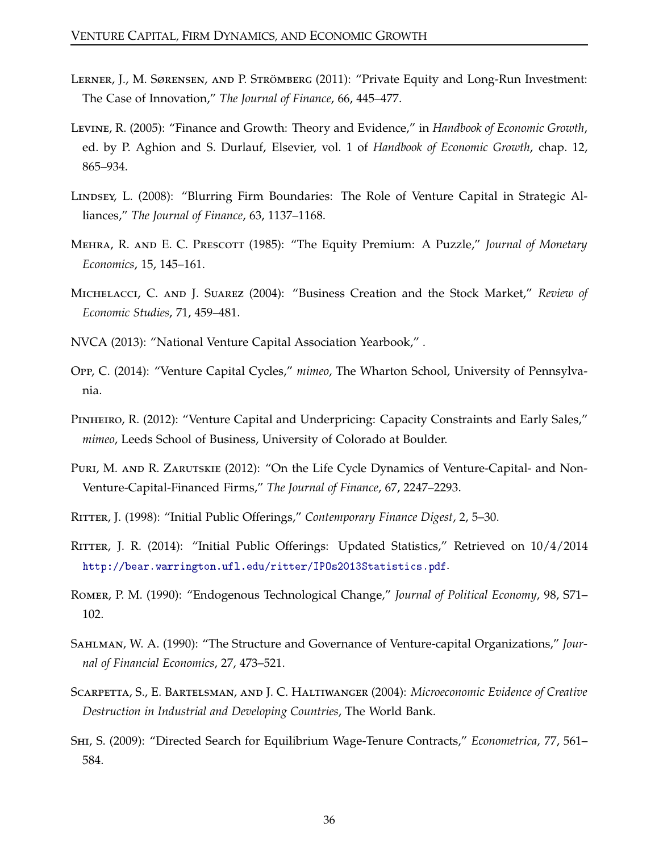- <span id="page-35-5"></span>Lerner, J., M. Sørensen, and P. Strömberg (2011): "Private Equity and Long-Run Investment: The Case of Innovation," *The Journal of Finance*, 66, 445–477.
- <span id="page-35-8"></span>Levine, R. (2005): "Finance and Growth: Theory and Evidence," in *Handbook of Economic Growth*, ed. by P. Aghion and S. Durlauf, Elsevier, vol. 1 of *Handbook of Economic Growth*, chap. 12, 865–934.
- <span id="page-35-4"></span>LINDSEY, L. (2008): "Blurring Firm Boundaries: The Role of Venture Capital in Strategic Alliances," *The Journal of Finance*, 63, 1137–1168.
- <span id="page-35-11"></span>Mehra, R. and E. C. Prescott (1985): "The Equity Premium: A Puzzle," *Journal of Monetary Economics*, 15, 145–161.
- <span id="page-35-14"></span>Michelacci, C. and J. Suarez (2004): "Business Creation and the Stock Market," *Review of Economic Studies*, 71, 459–481.
- <span id="page-35-0"></span>NVCA (2013): "National Venture Capital Association Yearbook," .
- <span id="page-35-7"></span>Opp, C. (2014): "Venture Capital Cycles," *mimeo*, The Wharton School, University of Pennsylvania.
- <span id="page-35-6"></span>Pinheiro, R. (2012): "Venture Capital and Underpricing: Capacity Constraints and Early Sales," *mimeo*, Leeds School of Business, University of Colorado at Boulder.
- <span id="page-35-3"></span>PURI, M. AND R. ZARUTSKIE (2012): "On the Life Cycle Dynamics of Venture-Capital- and Non-Venture-Capital-Financed Firms," *The Journal of Finance*, 67, 2247–2293.
- <span id="page-35-12"></span>Ritter, J. (1998): "Initial Public Offerings," *Contemporary Finance Digest*, 2, 5–30.
- <span id="page-35-13"></span>RITTER, J. R. (2014): "Initial Public Offerings: Updated Statistics," Retrieved on  $10/4/2014$ http://bear.warrington.ufl.edu/ritter/IPOs2013Statistics.pdf.
- <span id="page-35-2"></span>Romer, P. M. (1990): "Endogenous Technological Change," *Journal of Political Economy*, 98, S71– 102.
- <span id="page-35-1"></span>Sahlman, W. A. (1990): "The Structure and Governance of Venture-capital Organizations," *Journal of Financial Economics*, 27, 473–521.
- <span id="page-35-9"></span>Scarpetta, S., E. Bartelsman, and J. C. Haltiwanger (2004): *Microeconomic Evidence of Creative Destruction in Industrial and Developing Countries*, The World Bank.
- <span id="page-35-10"></span>Shi, S. (2009): "Directed Search for Equilibrium Wage-Tenure Contracts," *Econometrica*, 77, 561– 584.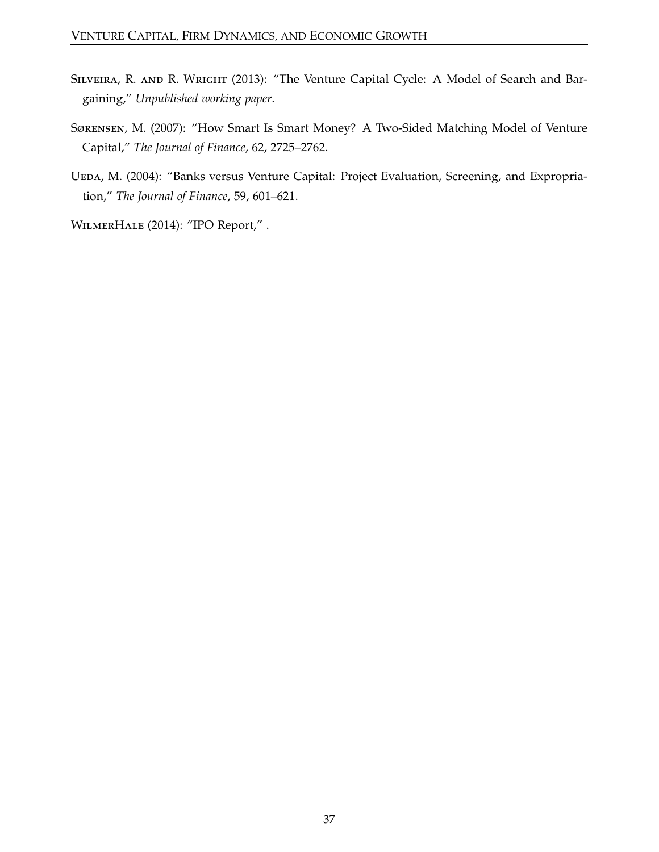- <span id="page-36-2"></span>SILVEIRA, R. AND R. WRIGHT (2013): "The Venture Capital Cycle: A Model of Search and Bargaining," *Unpublished working paper*.
- <span id="page-36-1"></span>Sørensen, M. (2007): "How Smart Is Smart Money? A Two-Sided Matching Model of Venture Capital," *The Journal of Finance*, 62, 2725–2762.
- <span id="page-36-0"></span>UEDA, M. (2004): "Banks versus Venture Capital: Project Evaluation, Screening, and Expropriation," *The Journal of Finance*, 59, 601–621.

<span id="page-36-3"></span>WilmerHale (2014): "IPO Report," .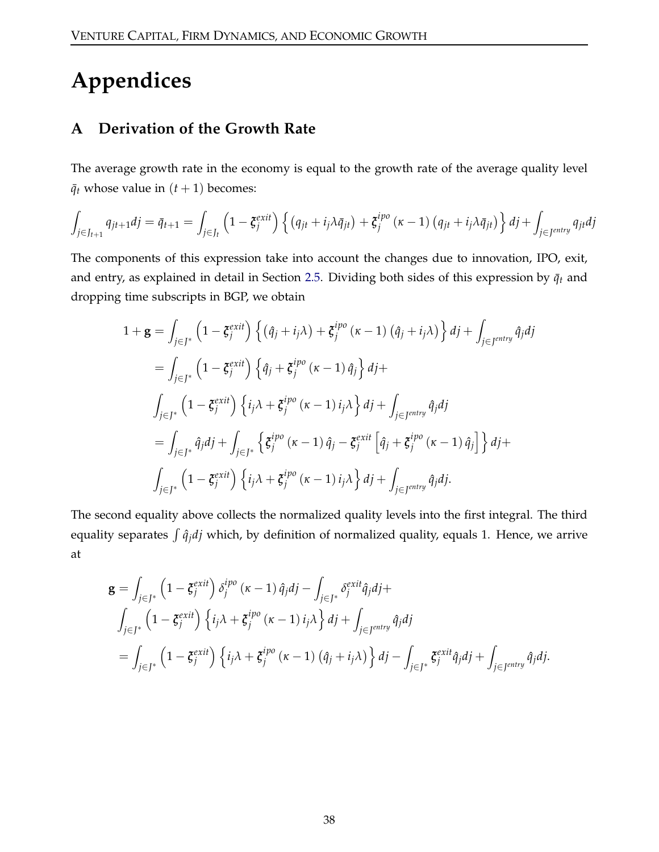# <span id="page-37-0"></span>**Appendices**

## **A Derivation of the Growth Rate**

The average growth rate in the economy is equal to the growth rate of the average quality level  $\bar{q}_t$  whose value in  $(t+1)$  becomes:

$$
\int_{j\in J_{t+1}} q_{jt+1}dj = \bar{q}_{t+1} = \int_{j\in J_t} \left(1 - \xi_j^{exit}\right) \left\{ \left(q_{jt} + i_j \lambda \bar{q}_{jt}\right) + \xi_j^{ipo} \left(\kappa - 1\right) \left(q_{jt} + i_j \lambda \bar{q}_{jt}\right) \right\} dj + \int_{j\in J^{entry}} q_{jt}dj
$$

The components of this expression take into account the changes due to innovation, IPO, exit, and entry, as explained in detail in Section [2.5.](#page-14-2) Dividing both sides of this expression by  $\bar{q}_t$  and dropping time subscripts in BGP, we obtain

$$
1 + \mathbf{g} = \int_{j \in J^*} \left( 1 - \xi_j^{exit} \right) \left\{ (\hat{q}_j + i_j \lambda) + \xi_j^{ipo} (\kappa - 1) (\hat{q}_j + i_j \lambda) \right\} dj + \int_{j \in J^{entry}} \hat{q}_j dj
$$
  
\n
$$
= \int_{j \in J^*} \left( 1 - \xi_j^{exit} \right) \left\{ \hat{q}_j + \xi_j^{ipo} (\kappa - 1) \hat{q}_j \right\} dj +
$$
  
\n
$$
\int_{j \in J^*} \left( 1 - \xi_j^{exit} \right) \left\{ i_j \lambda + \xi_j^{ipo} (\kappa - 1) i_j \lambda \right\} dj + \int_{j \in J^{entry}} \hat{q}_j dj
$$
  
\n
$$
= \int_{j \in J^*} \hat{q}_j dj + \int_{j \in J^*} \left\{ \xi_j^{ipo} (\kappa - 1) \hat{q}_j - \xi_j^{exit} \left[ \hat{q}_j + \xi_j^{ipo} (\kappa - 1) \hat{q}_j \right] \right\} dj +
$$
  
\n
$$
\int_{j \in J^*} \left( 1 - \xi_j^{exit} \right) \left\{ i_j \lambda + \xi_j^{ipo} (\kappa - 1) i_j \lambda \right\} dj + \int_{j \in J^{entry}} \hat{q}_j dj.
$$

The second equality above collects the normalized quality levels into the first integral. The third equality separates  $\int \hat{q}_j d j$  which, by definition of normalized quality, equals 1. Hence, we arrive at

$$
\mathbf{g} = \int_{j \in J^*} \left(1 - \xi_j^{exit}\right) \delta_j^{ipo} (\kappa - 1) \hat{q}_j dj - \int_{j \in J^*} \delta_j^{exit} \hat{q}_j dj +
$$
  

$$
\int_{j \in J^*} \left(1 - \xi_j^{exit}\right) \left\{i_j \lambda + \xi_j^{ipo} (\kappa - 1) i_j \lambda\right\} dj + \int_{j \in J^{entry}} \hat{q}_j dj
$$
  

$$
= \int_{j \in J^*} \left(1 - \xi_j^{exit}\right) \left\{i_j \lambda + \xi_j^{ipo} (\kappa - 1) \left(\hat{q}_j + i_j \lambda\right)\right\} dj - \int_{j \in J^*} \xi_j^{exit} \hat{q}_j dj + \int_{j \in J^{entry}} \hat{q}_j dj.
$$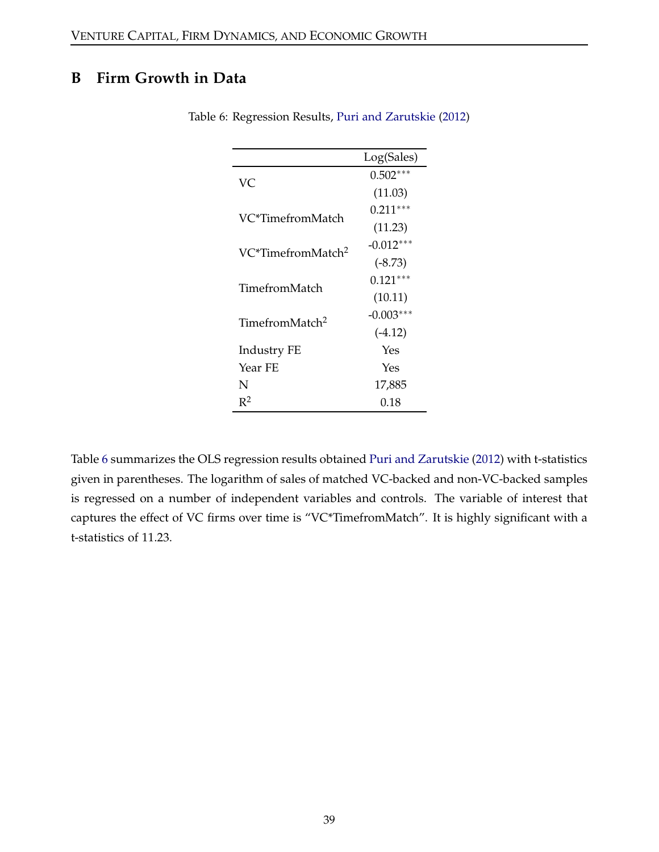# <span id="page-38-1"></span><span id="page-38-0"></span>**B Firm Growth in Data**

|                               | Log(Sales)  |
|-------------------------------|-------------|
| VС                            | $0.502***$  |
|                               | (11.03)     |
| VC*TimefromMatch              | $0.211***$  |
|                               | (11.23)     |
| VC*TimefromMatch <sup>2</sup> | $-0.012***$ |
|                               | $(-8.73)$   |
| TimefromMatch                 | $0.121***$  |
|                               | (10.11)     |
| TimefromMatch <sup>2</sup>    | $-0.003***$ |
|                               | $(-4.12)$   |
| <b>Industry FE</b>            | Yes         |
| Year FE                       | Yes         |
| N                             | 17,885      |
| $R^2$                         | 0.18        |

Table 6: Regression Results, [Puri and Zarutskie](#page-35-3) [\(2012\)](#page-35-3)

Table [6](#page-38-1) summarizes the OLS regression results obtained [Puri and Zarutskie](#page-35-3) [\(2012\)](#page-35-3) with t-statistics given in parentheses. The logarithm of sales of matched VC-backed and non-VC-backed samples is regressed on a number of independent variables and controls. The variable of interest that captures the effect of VC firms over time is "VC\*TimefromMatch". It is highly significant with a t-statistics of 11.23.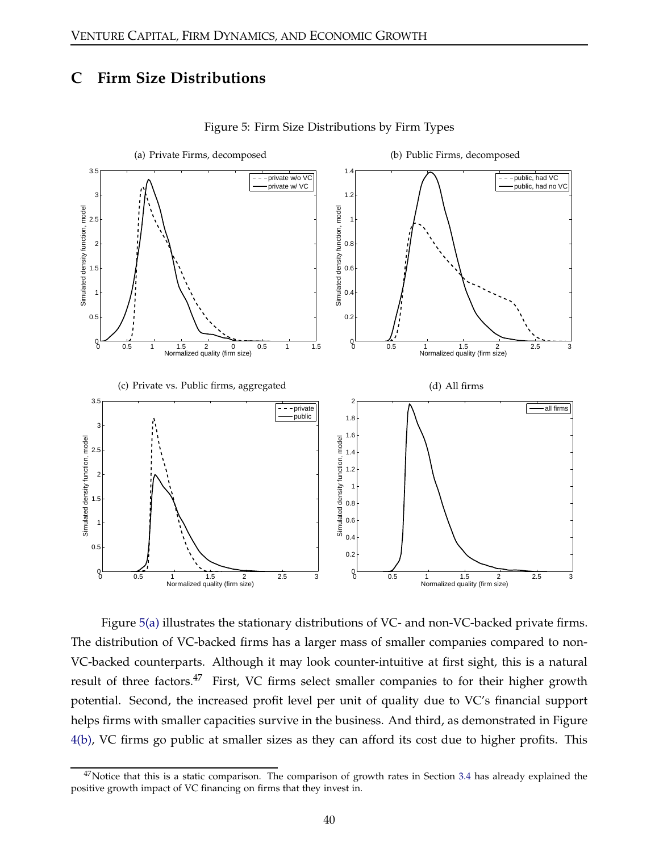## **C Firm Size Distributions**

<span id="page-39-2"></span><span id="page-39-0"></span>

<span id="page-39-3"></span><span id="page-39-1"></span>Figure 5: Firm Size Distributions by Firm Types

Figure [5\(a\)](#page-39-0) illustrates the stationary distributions of VC- and non-VC-backed private firms. The distribution of VC-backed firms has a larger mass of smaller companies compared to non-VC-backed counterparts. Although it may look counter-intuitive at first sight, this is a natural result of three factors.<sup>47</sup> First, VC firms select smaller companies to for their higher growth potential. Second, the increased profit level per unit of quality due to VC's financial support helps firms with smaller capacities survive in the business. And third, as demonstrated in Figure [4\(b\),](#page-29-0) VC firms go public at smaller sizes as they can afford its cost due to higher profits. This

 $47$ Notice that this is a static comparison. The comparison of growth rates in Section [3.4](#page-22-2) has already explained the positive growth impact of VC financing on firms that they invest in.